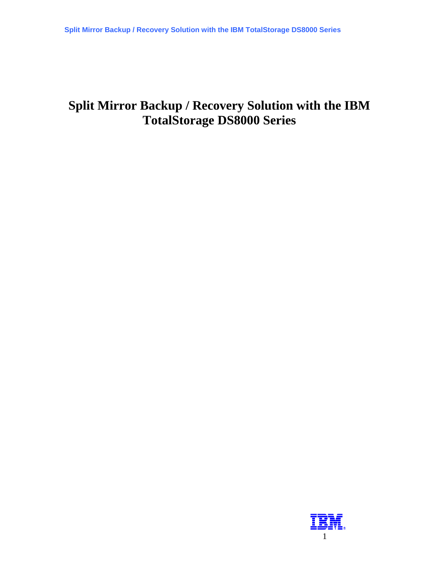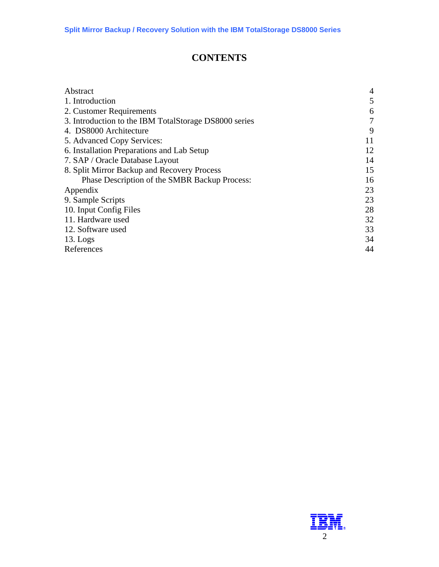## **CONTENTS**

| Abstract                                              | $\overline{4}$ |
|-------------------------------------------------------|----------------|
| 1. Introduction                                       | 5              |
| 2. Customer Requirements                              | 6              |
| 3. Introduction to the IBM TotalStorage DS8000 series | 7              |
| 4. DS8000 Architecture                                | 9              |
| 5. Advanced Copy Services:                            | 11             |
| 6. Installation Preparations and Lab Setup            | 12             |
| 7. SAP / Oracle Database Layout                       | 14             |
| 8. Split Mirror Backup and Recovery Process           | 15             |
| Phase Description of the SMBR Backup Process:         | 16             |
| Appendix                                              | 23             |
| 9. Sample Scripts                                     | 23             |
| 10. Input Config Files                                | 28             |
| 11. Hardware used                                     | 32             |
| 12. Software used                                     | 33             |
| $13.$ Logs                                            | 34             |
| References                                            | 44             |
|                                                       |                |

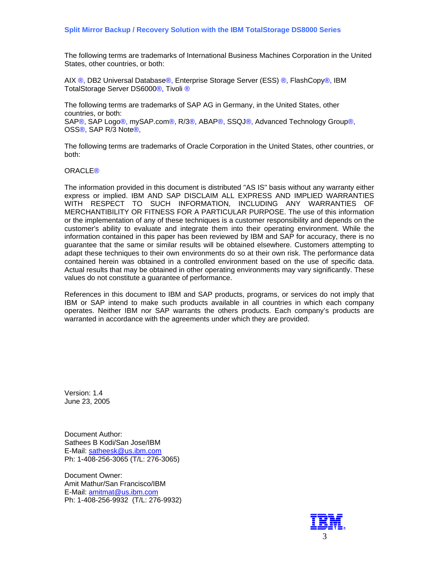The following terms are trademarks of International Business Machines Corporation in the United States, other countries, or both:

AIX ®, DB2 Universal Database®, Enterprise Storage Server (ESS) ®, FlashCopy®, IBM TotalStorage Server DS6000®, Tivoli ®

The following terms are trademarks of SAP AG in Germany, in the United States, other countries, or both: SAP®, SAP Logo®, mySAP.com®, R/3®, ABAP®, SSQJ®, Advanced Technology Group®, OSS®, SAP R/3 Note®,

The following terms are trademarks of Oracle Corporation in the United States, other countries, or both:

#### ORACLE®

The information provided in this document is distributed "AS IS" basis without any warranty either express or implied. IBM AND SAP DISCLAIM ALL EXPRESS AND IMPLIED WARRANTIES WITH RESPECT TO SUCH INFORMATION, INCLUDING ANY WARRANTIES OF MERCHANTIBILITY OR FITNESS FOR A PARTICULAR PURPOSE. The use of this information or the implementation of any of these techniques is a customer responsibility and depends on the customer's ability to evaluate and integrate them into their operating environment. While the information contained in this paper has been reviewed by IBM and SAP for accuracy, there is no guarantee that the same or similar results will be obtained elsewhere. Customers attempting to adapt these techniques to their own environments do so at their own risk. The performance data contained herein was obtained in a controlled environment based on the use of specific data. Actual results that may be obtained in other operating environments may vary significantly. These values do not constitute a guarantee of performance.

References in this document to IBM and SAP products, programs, or services do not imply that IBM or SAP intend to make such products available in all countries in which each company operates. Neither IBM nor SAP warrants the others products. Each company's products are warranted in accordance with the agreements under which they are provided.

Version: 1.4 June 23, 2005

Document Author: Sathees B Kodi/San Jose/IBM E-Mail: [satheesk@us.ibm.com](mailto:satheesk@us.ibm.com) Ph: 1-408-256-3065 (T/L: 276-3065)

Document Owner: Amit Mathur/San Francisco/IBM E-Mail: [amitmat@us.ibm.com](mailto:amitmat@us.ibm.com) Ph: 1-408-256-9932 (T/L: 276-9932)

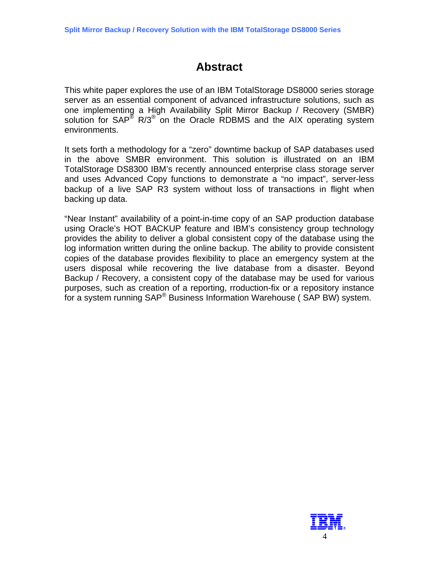# **Abstract**

<span id="page-3-0"></span>This white paper explores the use of an IBM TotalStorage DS8000 series storage server as an essential component of advanced infrastructure solutions, such as one implementing a High Availability Split Mirror Backup / Recovery (SMBR) solution for  $SAP^{\circledast}$  R/3<sup> $\circledast$ </sup> on the Oracle RDBMS and the AIX operating system environments.

It sets forth a methodology for a "zero" downtime backup of SAP databases used in the above SMBR environment. This solution is illustrated on an IBM TotalStorage DS8300 IBM's recently announced enterprise class storage server and uses Advanced Copy functions to demonstrate a "no impact", server-less backup of a live SAP R3 system without loss of transactions in flight when backing up data.

"Near Instant" availability of a point-in-time copy of an SAP production database using Oracle's HOT BACKUP feature and IBM's consistency group technology provides the ability to deliver a global consistent copy of the database using the log information written during the online backup. The ability to provide consistent copies of the database provides flexibility to place an emergency system at the users disposal while recovering the live database from a disaster. Beyond Backup / Recovery, a consistent copy of the database may be used for various purposes, such as creation of a reporting, rroduction-fix or a repository instance for a system running SAP® Business Information Warehouse ( SAP BW) system.

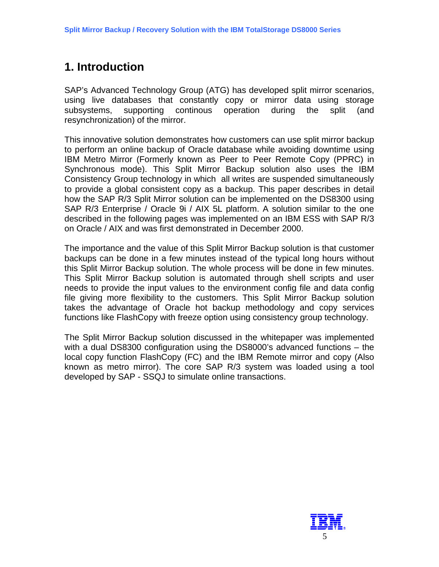# <span id="page-4-0"></span>**1. Introduction**

SAP's Advanced Technology Group (ATG) has developed split mirror scenarios, using live databases that constantly copy or mirror data using storage subsystems, supporting continous operation during the split (and resynchronization) of the mirror.

This innovative solution demonstrates how customers can use split mirror backup to perform an online backup of Oracle database while avoiding downtime using IBM Metro Mirror (Formerly known as Peer to Peer Remote Copy (PPRC) in Synchronous mode). This Split Mirror Backup solution also uses the IBM Consistency Group technology in which all writes are suspended simultaneously to provide a global consistent copy as a backup. This paper describes in detail how the SAP R/3 Split Mirror solution can be implemented on the DS8300 using SAP R/3 Enterprise / Oracle 9i / AIX 5L platform. A solution similar to the one described in the following pages was implemented on an IBM ESS with SAP R/3 on Oracle / AIX and was first demonstrated in December 2000.

The importance and the value of this Split Mirror Backup solution is that customer backups can be done in a few minutes instead of the typical long hours without this Split Mirror Backup solution. The whole process will be done in few minutes. This Split Mirror Backup solution is automated through shell scripts and user needs to provide the input values to the environment config file and data config file giving more flexibility to the customers. This Split Mirror Backup solution takes the advantage of Oracle hot backup methodology and copy services functions like FlashCopy with freeze option using consistency group technology.

The Split Mirror Backup solution discussed in the whitepaper was implemented with a dual DS8300 configuration using the DS8000's advanced functions – the local copy function FlashCopy (FC) and the IBM Remote mirror and copy (Also known as metro mirror). The core SAP R/3 system was loaded using a tool developed by SAP - SSQJ to simulate online transactions.

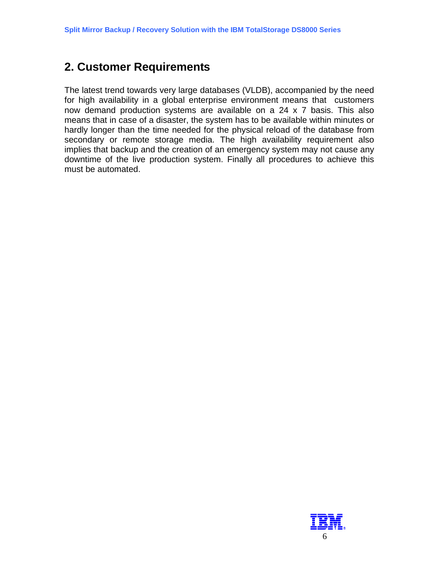# <span id="page-5-0"></span>**2. Customer Requirements**

The latest trend towards very large databases (VLDB), accompanied by the need for high availability in a global enterprise environment means that customers now demand production systems are available on a 24 x 7 basis. This also means that in case of a disaster, the system has to be available within minutes or hardly longer than the time needed for the physical reload of the database from secondary or remote storage media. The high availability requirement also implies that backup and the creation of an emergency system may not cause any downtime of the live production system. Finally all procedures to achieve this must be automated.

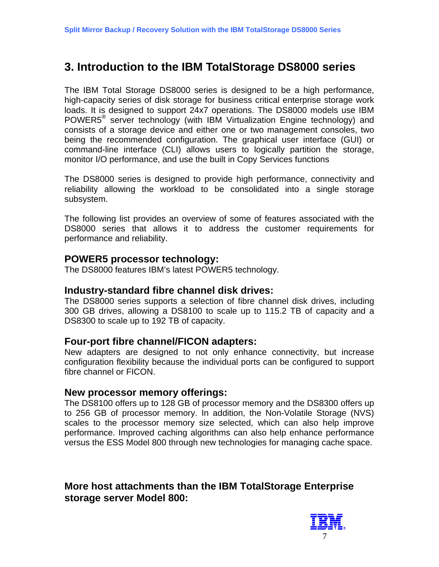## <span id="page-6-0"></span>**3. Introduction to the IBM TotalStorage DS8000 series**

The IBM Total Storage DS8000 series is designed to be a high performance, high-capacity series of disk storage for business critical enterprise storage work loads. It is designed to support 24x7 operations. The DS8000 models use IBM POWER5® server technology (with IBM Virtualization Engine technology) and consists of a storage device and either one or two management consoles, two being the recommended configuration. The graphical user interface (GUI) or command-line interface (CLI) allows users to logically partition the storage, monitor I/O performance, and use the built in Copy Services functions

The DS8000 series is designed to provide high performance, connectivity and reliability allowing the workload to be consolidated into a single storage subsystem.

The following list provides an overview of some of features associated with the DS8000 series that allows it to address the customer requirements for performance and reliability.

### **POWER5 processor technology:**

The DS8000 features IBM's latest POWER5 technology.

### **Industry-standard fibre channel disk drives:**

The DS8000 series supports a selection of fibre channel disk drives, including 300 GB drives, allowing a DS8100 to scale up to 115.2 TB of capacity and a DS8300 to scale up to 192 TB of capacity.

### **Four-port fibre channel/FICON adapters:**

New adapters are designed to not only enhance connectivity, but increase configuration flexibility because the individual ports can be configured to support fibre channel or FICON.

### **New processor memory offerings:**

The DS8100 offers up to 128 GB of processor memory and the DS8300 offers up to 256 GB of processor memory. In addition, the Non-Volatile Storage (NVS) scales to the processor memory size selected, which can also help improve performance. Improved caching algorithms can also help enhance performance versus the ESS Model 800 through new technologies for managing cache space.

## **More host attachments than the IBM TotalStorage Enterprise storage server Model 800:**

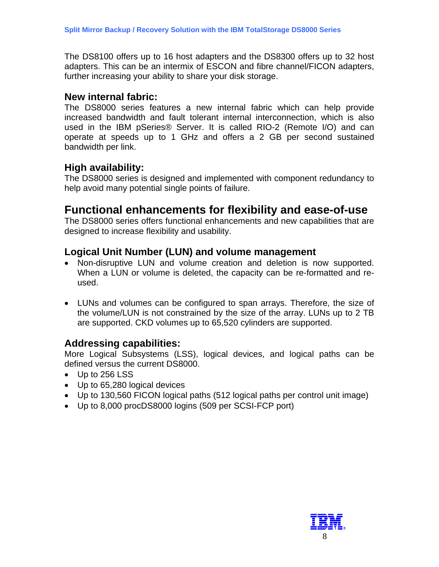The DS8100 offers up to 16 host adapters and the DS8300 offers up to 32 host adapters. This can be an intermix of ESCON and fibre channel/FICON adapters, further increasing your ability to share your disk storage.

### **New internal fabric:**

The DS8000 series features a new internal fabric which can help provide increased bandwidth and fault tolerant internal interconnection, which is also used in the IBM pSeries® Server. It is called RIO-2 (Remote I/O) and can operate at speeds up to 1 GHz and offers a 2 GB per second sustained bandwidth per link.

## **High availability:**

The DS8000 series is designed and implemented with component redundancy to help avoid many potential single points of failure.

## **Functional enhancements for flexibility and ease-of-use**

The DS8000 series offers functional enhancements and new capabilities that are designed to increase flexibility and usability.

## **Logical Unit Number (LUN) and volume management**

- Non-disruptive LUN and volume creation and deletion is now supported. When a LUN or volume is deleted, the capacity can be re-formatted and reused.
- LUNs and volumes can be configured to span arrays. Therefore, the size of the volume/LUN is not constrained by the size of the array. LUNs up to 2 TB are supported. CKD volumes up to 65,520 cylinders are supported.

### **Addressing capabilities:**

More Logical Subsystems (LSS), logical devices, and logical paths can be defined versus the current DS8000.

- Up to 256 LSS
- Up to 65,280 logical devices
- Up to 130,560 FICON logical paths (512 logical paths per control unit image)
- Up to 8,000 procDS8000 logins (509 per SCSI-FCP port)

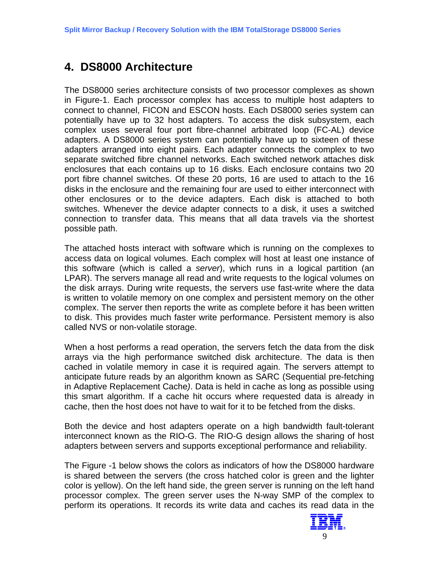# <span id="page-8-0"></span>**4. DS8000 Architecture**

The DS8000 series architecture consists of two processor complexes as shown in Figure-1. Each processor complex has access to multiple host adapters to connect to channel, FICON and ESCON hosts. Each DS8000 series system can potentially have up to 32 host adapters. To access the disk subsystem, each complex uses several four port fibre-channel arbitrated loop (FC-AL) device adapters. A DS8000 series system can potentially have up to sixteen of these adapters arranged into eight pairs. Each adapter connects the complex to two separate switched fibre channel networks. Each switched network attaches disk enclosures that each contains up to 16 disks. Each enclosure contains two 20 port fibre channel switches. Of these 20 ports, 16 are used to attach to the 16 disks in the enclosure and the remaining four are used to either interconnect with other enclosures or to the device adapters. Each disk is attached to both switches. Whenever the device adapter connects to a disk, it uses a switched connection to transfer data. This means that all data travels via the shortest possible path.

The attached hosts interact with software which is running on the complexes to access data on logical volumes. Each complex will host at least one instance of this software (which is called a *server*), which runs in a logical partition (an LPAR). The servers manage all read and write requests to the logical volumes on the disk arrays. During write requests, the servers use fast-write where the data is written to volatile memory on one complex and persistent memory on the other complex. The server then reports the write as complete before it has been written to disk. This provides much faster write performance. Persistent memory is also called NVS or non-volatile storage.

When a host performs a read operation, the servers fetch the data from the disk arrays via the high performance switched disk architecture. The data is then cached in volatile memory in case it is required again. The servers attempt to anticipate future reads by an algorithm known as SARC (Sequential pre-fetching in Adaptive Replacement Cache*)*. Data is held in cache as long as possible using this smart algorithm. If a cache hit occurs where requested data is already in cache, then the host does not have to wait for it to be fetched from the disks.

Both the device and host adapters operate on a high bandwidth fault-tolerant interconnect known as the RIO-G. The RIO-G design allows the sharing of host adapters between servers and supports exceptional performance and reliability.

The Figure -1 below shows the colors as indicators of how the DS8000 hardware is shared between the servers (the cross hatched color is green and the lighter color is yellow). On the left hand side, the green server is running on the left hand processor complex. The green server uses the N-way SMP of the complex to perform its operations. It records its write data and caches its read data in the

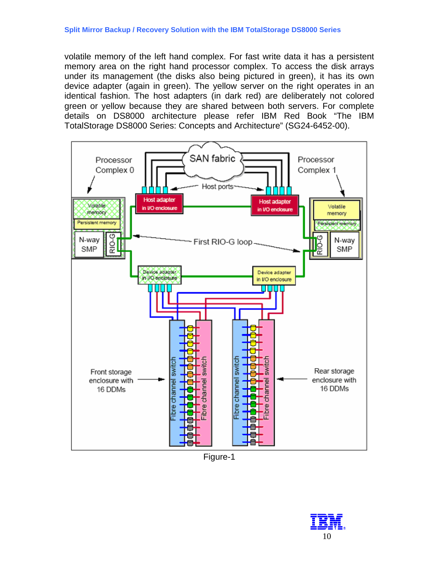volatile memory of the left hand complex. For fast write data it has a persistent memory area on the right hand processor complex. To access the disk arrays under its management (the disks also being pictured in green), it has its own device adapter (again in green). The yellow server on the right operates in an identical fashion. The host adapters (in dark red) are deliberately not colored green or yellow because they are shared between both servers. For complete details on DS8000 architecture please refer IBM Red Book "The IBM TotalStorage DS8000 Series: Concepts and Architecture" (SG24-6452-00).



Figure-1

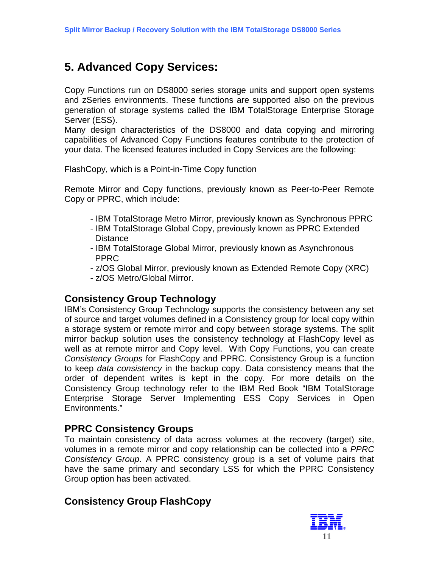# <span id="page-10-0"></span>**5. Advanced Copy Services:**

Copy Functions run on DS8000 series storage units and support open systems and zSeries environments. These functions are supported also on the previous generation of storage systems called the IBM TotalStorage Enterprise Storage Server (ESS).

Many design characteristics of the DS8000 and data copying and mirroring capabilities of Advanced Copy Functions features contribute to the protection of your data. The licensed features included in Copy Services are the following:

FlashCopy, which is a Point-in-Time Copy function

Remote Mirror and Copy functions, previously known as Peer-to-Peer Remote Copy or PPRC, which include:

- IBM TotalStorage Metro Mirror, previously known as Synchronous PPRC
- IBM TotalStorage Global Copy, previously known as PPRC Extended **Distance**
- IBM TotalStorage Global Mirror, previously known as Asynchronous PPRC
- z/OS Global Mirror, previously known as Extended Remote Copy (XRC)
- z/OS Metro/Global Mirror.

### **Consistency Group Technology**

IBM's Consistency Group Technology supports the consistency between any set of source and target volumes defined in a Consistency group for local copy within a storage system or remote mirror and copy between storage systems. The split mirror backup solution uses the consistency technology at FlashCopy level as well as at remote mirror and Copy level. With Copy Functions, you can create *Consistency Groups* for FlashCopy and PPRC. Consistency Group is a function to keep *data consistency* in the backup copy. Data consistency means that the order of dependent writes is kept in the copy. For more details on the Consistency Group technology refer to the IBM Red Book "IBM TotalStorage Enterprise Storage Server Implementing ESS Copy Services in Open Environments."

### **PPRC Consistency Groups**

To maintain consistency of data across volumes at the recovery (target) site, volumes in a remote mirror and copy relationship can be collected into a *PPRC Consistency Group*. A PPRC consistency group is a set of volume pairs that have the same primary and secondary LSS for which the PPRC Consistency Group option has been activated.

### **Consistency Group FlashCopy**

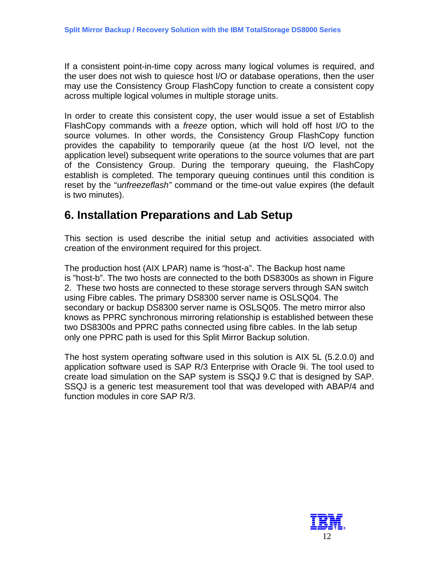<span id="page-11-0"></span>If a consistent point-in-time copy across many logical volumes is required, and the user does not wish to quiesce host I/O or database operations, then the user may use the Consistency Group FlashCopy function to create a consistent copy across multiple logical volumes in multiple storage units.

In order to create this consistent copy, the user would issue a set of Establish FlashCopy commands with a *freeze* option, which will hold off host I/O to the source volumes. In other words, the Consistency Group FlashCopy function provides the capability to temporarily queue (at the host I/O level, not the application level) subsequent write operations to the source volumes that are part of the Consistency Group. During the temporary queuing, the FlashCopy establish is completed. The temporary queuing continues until this condition is reset by the "u*nfreezeflash"* command or the time-out value expires (the default is two minutes).

## **6. Installation Preparations and Lab Setup**

This section is used describe the initial setup and activities associated with creation of the environment required for this project.

The production host (AIX LPAR) name is "host-a". The Backup host name is "host-b". The two hosts are connected to the both DS8300s as shown in Figure 2. These two hosts are connected to these storage servers through SAN switch using Fibre cables. The primary DS8300 server name is OSLSQ04. The secondary or backup DS8300 server name is OSLSQ05. The metro mirror also knows as PPRC synchronous mirroring relationship is established between these two DS8300s and PPRC paths connected using fibre cables. In the lab setup only one PPRC path is used for this Split Mirror Backup solution.

The host system operating software used in this solution is AIX 5L (5.2.0.0) and application software used is SAP R/3 Enterprise with Oracle 9i. The tool used to create load simulation on the SAP system is SSQJ 9.C that is designed by SAP. SSQJ is a generic test measurement tool that was developed with ABAP/4 and function modules in core SAP R/3.

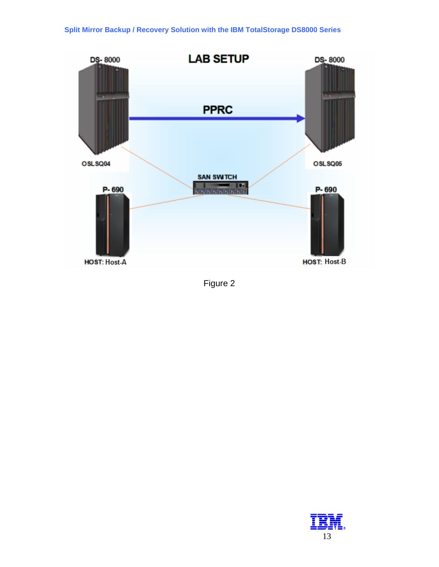

Figure 2

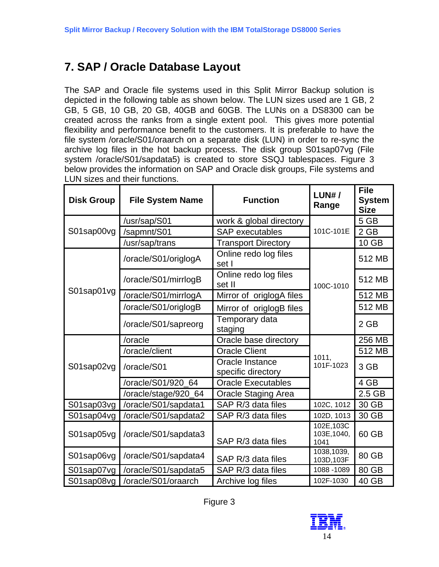# <span id="page-13-0"></span>**7. SAP / Oracle Database Layout**

The SAP and Oracle file systems used in this Split Mirror Backup solution is depicted in the following table as shown below. The LUN sizes used are 1 GB, 2 GB, 5 GB, 10 GB, 20 GB, 40GB and 60GB. The LUNs on a DS8300 can be created across the ranks from a single extent pool. This gives more potential flexibility and performance benefit to the customers. It is preferable to have the file system /oracle/S01/oraarch on a separate disk (LUN) in order to re-sync the archive log files in the hot backup process. The disk group S01sap07vg (File system /oracle/S01/sapdata5) is created to store SSQJ tablespaces. Figure 3 below provides the information on SAP and Oracle disk groups, File systems and LUN sizes and their functions.

| <b>Disk Group</b> | <b>File System Name</b> | <b>Function</b>                       | $LUN#$ /<br>Range                 | <b>File</b><br><b>System</b><br><b>Size</b> |
|-------------------|-------------------------|---------------------------------------|-----------------------------------|---------------------------------------------|
| S01sap00vg        | /usr/sap/S01            | work & global directory               |                                   | 5 GB                                        |
|                   | /sapmnt/S01             | <b>SAP</b> executables                | 101C-101E                         | $2$ GB                                      |
|                   | /usr/sap/trans          | <b>Transport Directory</b>            |                                   | 10 GB                                       |
|                   | /oracle/S01/origlogA    | Online redo log files<br>set I        |                                   | 512 MB                                      |
|                   | /oracle/S01/mirrlogB    | Online redo log files<br>set II       | 100C-1010                         | 512 MB                                      |
| S01sap01vg        | /oracle/S01/mirrlogA    | Mirror of origlogA files              |                                   | 512 MB                                      |
|                   | /oracle/S01/origlogB    | Mirror of origlogB files              |                                   | 512 MB                                      |
|                   | /oracle/S01/sapreorg    | Temporary data<br>staging             |                                   | 2 GB                                        |
| S01sap02vg        | /oracle                 | Oracle base directory                 |                                   | 256 MB                                      |
|                   | /oracle/client          | <b>Oracle Client</b>                  | 1011.                             | 512 MB                                      |
|                   | /oracle/S01             | Oracle Instance<br>specific directory | 101F-1023                         | 3 GB                                        |
|                   | /oracle/S01/920_64      | <b>Oracle Executables</b>             |                                   | 4 GB                                        |
|                   | /oracle/stage/920_64    | <b>Oracle Staging Area</b>            |                                   |                                             |
| S01sap03vg        | /oracle/S01/sapdata1    | SAP R/3 data files                    | 102C, 1012                        | 30 GB                                       |
| S01sap04vg        | /oracle/S01/sapdata2    | SAP R/3 data files                    | 102D, 1013                        | 30 GB                                       |
| S01sap05vg        | /oracle/S01/sapdata3    | SAP R/3 data files                    | 102E, 103C<br>103E, 1040,<br>1041 | 60 GB                                       |
| S01sap06vg        | /oracle/S01/sapdata4    | SAP R/3 data files                    | 1038,1039,<br>103D, 103F          | 80 GB                                       |
| S01sap07vg        | /oracle/S01/sapdata5    | SAP R/3 data files                    | 1088 - 1089                       | 80 GB                                       |
| S01sap08vg        | /oracle/S01/oraarch     | Archive log files                     | 102F-1030                         | 40 GB                                       |



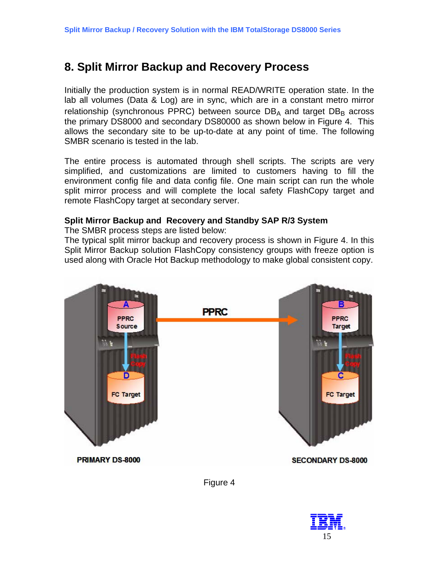# <span id="page-14-0"></span>**8. Split Mirror Backup and Recovery Process**

Initially the production system is in normal READ/WRITE operation state. In the lab all volumes (Data & Log) are in sync, which are in a constant metro mirror relationship (synchronous PPRC) between source  $DB_A$  and target  $DB_B$  across the primary DS8000 and secondary DS80000 as shown below in Figure 4. This allows the secondary site to be up-to-date at any point of time. The following SMBR scenario is tested in the lab.

The entire process is automated through shell scripts. The scripts are very simplified, and customizations are limited to customers having to fill the environment config file and data config file. One main script can run the whole split mirror process and will complete the local safety FlashCopy target and remote FlashCopy target at secondary server.

### **Split Mirror Backup and Recovery and Standby SAP R/3 System**

The SMBR process steps are listed below:

The typical split mirror backup and recovery process is shown in Figure 4. In this Split Mirror Backup solution FlashCopy consistency groups with freeze option is used along with Oracle Hot Backup methodology to make global consistent copy.





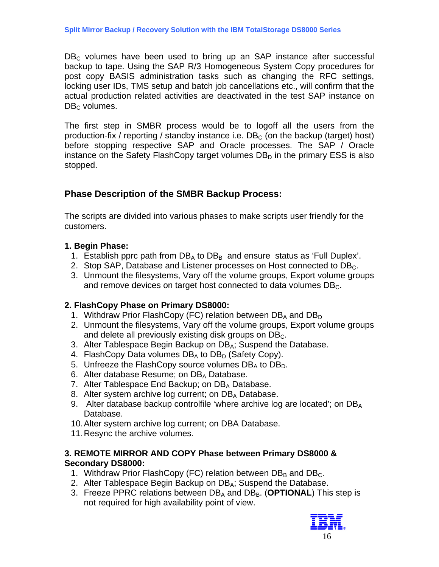<span id="page-15-0"></span> $DB<sub>c</sub>$  volumes have been used to bring up an SAP instance after successful backup to tape. Using the SAP R/3 Homogeneous System Copy procedures for post copy BASIS administration tasks such as changing the RFC settings, locking user IDs, TMS setup and batch job cancellations etc., will confirm that the actual production related activities are deactivated in the test SAP instance on  $DB<sub>c</sub>$  volumes.

The first step in SMBR process would be to logoff all the users from the production-fix / reporting / standby instance i.e.  $DB<sub>c</sub>$  (on the backup (target) host) before stopping respective SAP and Oracle processes. The SAP / Oracle instance on the Safety FlashCopy target volumes  $DB<sub>D</sub>$  in the primary ESS is also stopped.

### **Phase Description of the SMBR Backup Process:**

The scripts are divided into various phases to make scripts user friendly for the customers.

### **1. Begin Phase:**

- 1. Establish pprc path from  $DB_A$  to  $DB_B$  and ensure status as 'Full Duplex'.
- 2. Stop SAP, Database and Listener processes on Host connected to DB<sub>C</sub>.
- 3. Unmount the filesystems, Vary off the volume groups, Export volume groups and remove devices on target host connected to data volumes DB<sub>C</sub>.

### **2. FlashCopy Phase on Primary DS8000:**

- 1. Withdraw Prior FlashCopy (FC) relation between  $DB_A$  and  $DB_D$
- 2. Unmount the filesystems, Vary off the volume groups, Export volume groups and delete all previously existing disk groups on  $DB<sub>C</sub>$ .
- 3. Alter Tablespace Begin Backup on DB<sub>A</sub>; Suspend the Database.
- 4. FlashCopy Data volumes  $DB_A$  to  $DB_D$  (Safety Copy).
- 5. Unfreeze the FlashCopy source volumes  $DB_A$  to  $DB_D$ .
- 6. Alter database Resume; on DB<sub>A</sub> Database.
- 7. Alter Tablespace End Backup; on  $DB_A$  Database.
- 8. Alter system archive log current; on DB<sub>A</sub> Database.
- 9. Alter database backup controlfile 'where archive log are located'; on  $DB_A$ Database.
- 10. Alter system archive log current; on DBA Database.
- 11. Resync the archive volumes.

### **3. REMOTE MIRROR AND COPY Phase between Primary DS8000 & Secondary DS8000:**

- 1. Withdraw Prior FlashCopy (FC) relation between  $DB_B$  and  $DB_C$ .
- 2. Alter Tablespace Begin Backup on DB<sub>A</sub>; Suspend the Database.
- 3. Freeze PPRC relations between DB<sub>A</sub> and DB<sub>B</sub>. (**OPTIONAL**) This step is not required for high availability point of view.

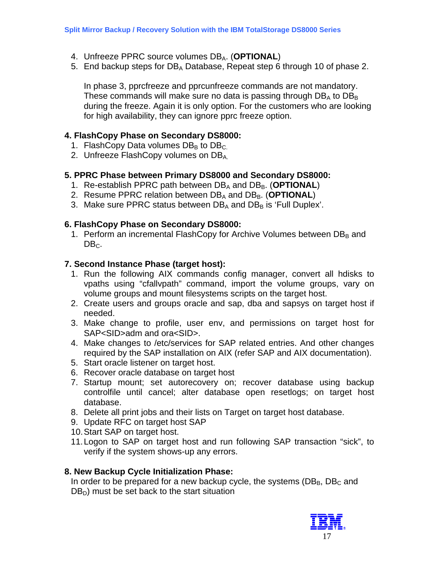- 4. Unfreeze PPRC source volumes DB<sub>A</sub>. (OPTIONAL)
- 5. End backup steps for  $DB_A$  Database, Repeat step 6 through 10 of phase 2.

In phase 3, pprcfreeze and pprcunfreeze commands are not mandatory. These commands will make sure no data is passing through  $DB<sub>A</sub>$  to  $DB<sub>B</sub>$ during the freeze. Again it is only option. For the customers who are looking for high availability, they can ignore pprc freeze option.

### **4. FlashCopy Phase on Secondary DS8000:**

- 1. FlashCopy Data volumes  $DB_B$  to  $DB_C$ .
- 2. Unfreeze FlashCopy volumes on DB<sub>A</sub>

### **5. PPRC Phase between Primary DS8000 and Secondary DS8000:**

- 1. Re-establish PPRC path between DB<sub>A</sub> and DB<sub>B</sub>. (**OPTIONAL**)
- 2. Resume PPRC relation between DB<sub>A</sub> and DB<sub>B</sub>. (**OPTIONAL**)
- 3. Make sure PPRC status between  $DB_A$  and  $DB_B$  is 'Full Duplex'.

### **6. FlashCopy Phase on Secondary DS8000:**

1. Perform an incremental FlashCopy for Archive Volumes between DBB and  $DB<sub>C</sub>$ .

### **7. Second Instance Phase (target host):**

- 1. Run the following AIX commands config manager, convert all hdisks to vpaths using "cfallvpath" command, import the volume groups, vary on volume groups and mount filesystems scripts on the target host.
- 2. Create users and groups oracle and sap, dba and sapsys on target host if needed.
- 3. Make change to profile, user env, and permissions on target host for SAP<SID>adm and ora<SID>.
- 4. Make changes to /etc/services for SAP related entries. And other changes required by the SAP installation on AIX (refer SAP and AIX documentation).
- 5. Start oracle listener on target host.
- 6. Recover oracle database on target host
- 7. Startup mount; set autorecovery on; recover database using backup controlfile until cancel; alter database open resetlogs; on target host database.
- 8. Delete all print jobs and their lists on Target on target host database.
- 9. Update RFC on target host SAP
- 10. Start SAP on target host.
- 11. Logon to SAP on target host and run following SAP transaction "sick", to verify if the system shows-up any errors.

#### **8. New Backup Cycle Initialization Phase:**

In order to be prepared for a new backup cycle, the systems ( $DB_B$ ,  $DB_C$  and  $DB<sub>D</sub>$ ) must be set back to the start situation

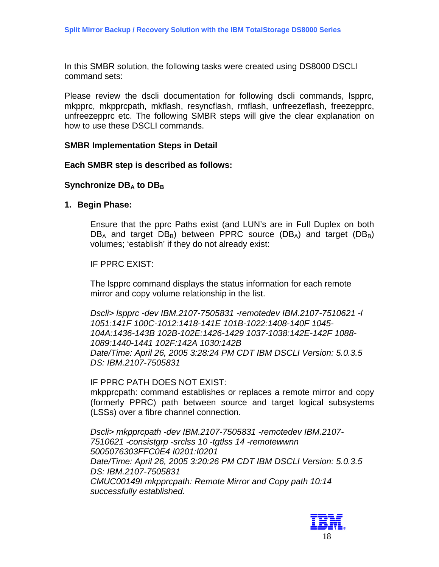In this SMBR solution, the following tasks were created using DS8000 DSCLI command sets:

Please review the dscli documentation for following dscli commands, lspprc, mkpprc, mkpprcpath, mkflash, resyncflash, rmflash, unfreezeflash, freezepprc, unfreezepprc etc. The following SMBR steps will give the clear explanation on how to use these DSCLI commands.

#### **SMBR Implementation Steps in Detail**

#### **Each SMBR step is described as follows:**

#### **Synchronize DBA to DBB**

#### **1. Begin Phase:**

Ensure that the pprc Paths exist (and LUN's are in Full Duplex on both  $DB_A$  and target  $DB_B$ ) between PPRC source ( $DB_A$ ) and target ( $DB_B$ ) volumes; 'establish' if they do not already exist:

IF PPRC EXIST:

The lspprc command displays the status information for each remote mirror and copy volume relationship in the list.

*Dscli> lspprc -dev IBM.2107-7505831 -remotedev IBM.2107-7510621 -l 1051:141F 100C-1012:1418-141E 101B-1022:1408-140F 1045- 104A:1436-143B 102B-102E:1426-1429 1037-1038:142E-142F 1088- 1089:1440-1441 102F:142A 1030:142B Date/Time: April 26, 2005 3:28:24 PM CDT IBM DSCLI Version: 5.0.3.5 DS: IBM.2107-7505831*

IF PPRC PATH DOES NOT EXIST: mkpprcpath: command establishes or replaces a remote mirror and copy (formerly PPRC) path between source and target logical subsystems (LSSs) over a fibre channel connection.

*Dscli> mkpprcpath -dev IBM.2107-7505831 -remotedev IBM.2107- 7510621 -consistgrp -srclss 10 -tgtlss 14 -remotewwnn 5005076303FFC0E4 I0201:I0201 Date/Time: April 26, 2005 3:20:26 PM CDT IBM DSCLI Version: 5.0.3.5 DS: IBM.2107-7505831 CMUC00149I mkpprcpath: Remote Mirror and Copy path 10:14 successfully established.* 

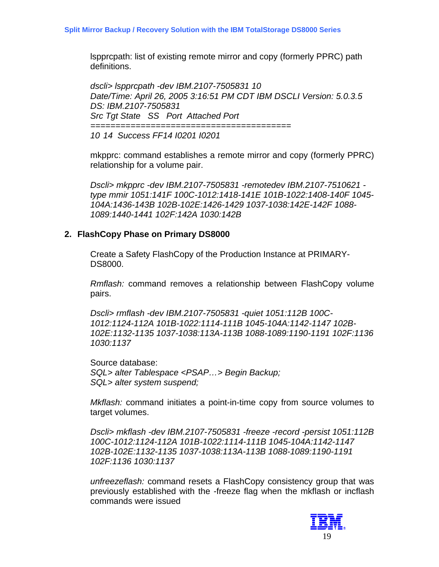*========================================* 

lspprcpath: list of existing remote mirror and copy (formerly PPRC) path definitions.

*dscli> lspprcpath -dev IBM.2107-7505831 10 Date/Time: April 26, 2005 3:16:51 PM CDT IBM DSCLI Version: 5.0.3.5 DS: IBM.2107-7505831 Src Tgt State SS Port Attached Port* 

*10 14 Success FF14 I0201 I0201* 

mkpprc: command establishes a remote mirror and copy (formerly PPRC) relationship for a volume pair.

*Dscli> mkpprc -dev IBM.2107-7505831 -remotedev IBM.2107-7510621 type mmir 1051:141F 100C-1012:1418-141E 101B-1022:1408-140F 1045- 104A:1436-143B 102B-102E:1426-1429 1037-1038:142E-142F 1088- 1089:1440-1441 102F:142A 1030:142B* 

### **2. FlashCopy Phase on Primary DS8000**

Create a Safety FlashCopy of the Production Instance at PRIMARY-DS8000.

*Rmflash:* command removes a relationship between FlashCopy volume pairs.

*Dscli> rmflash -dev IBM.2107-7505831 -quiet 1051:112B 100C-1012:1124-112A 101B-1022:1114-111B 1045-104A:1142-1147 102B-102E:1132-1135 1037-1038:113A-113B 1088-1089:1190-1191 102F:1136 1030:1137* 

Source database: *SQL> alter Tablespace <PSAP…> Begin Backup; SQL> alter system suspend;* 

*Mkflash:* command initiates a point-in-time copy from source volumes to target volumes.

*Dscli> mkflash -dev IBM.2107-7505831 -freeze -record -persist 1051:112B 100C-1012:1124-112A 101B-1022:1114-111B 1045-104A:1142-1147 102B-102E:1132-1135 1037-1038:113A-113B 1088-1089:1190-1191 102F:1136 1030:1137* 

*unfreezeflash:* command resets a FlashCopy consistency group that was previously established with the -freeze flag when the mkflash or incflash commands were issued

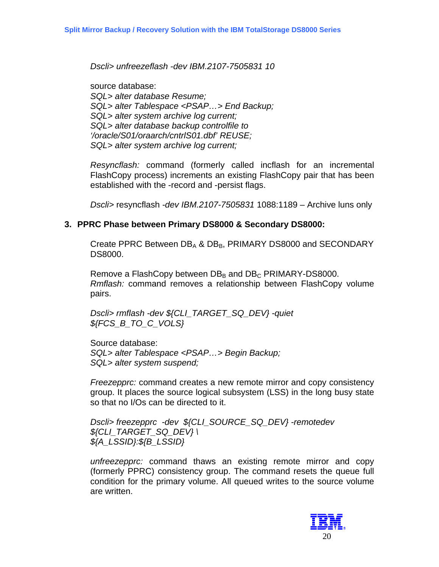*Dscli> unfreezeflash -dev IBM.2107-7505831 10* 

source database: *SQL> alter database Resume; SQL> alter Tablespace <PSAP…> End Backup; SQL> alter system archive log current; SQL> alter database backup controlfile to '/oracle/S01/oraarch/cntrlS01.dbf' REUSE; SQL> alter system archive log current;* 

*Resyncflash:* command (formerly called incflash for an incremental FlashCopy process) increments an existing FlashCopy pair that has been established with the -record and -persist flags.

*Dscli>* resyncflash *-dev IBM.2107-7505831* 1088:1189 – Archive luns only

### **3. PPRC Phase between Primary DS8000 & Secondary DS8000:**

Create PPRC Between  $DB_A$  &  $DB_B$ , PRIMARY DS8000 and SECONDARY DS8000.

Remove a FlashCopy between  $DB_B$  and  $DB_C$  PRIMARY-DS8000. *Rmflash:* command removes a relationship between FlashCopy volume pairs.

*Dscli> rmflash -dev \${CLI\_TARGET\_SQ\_DEV} -quiet \${FCS\_B\_TO\_C\_VOLS}* 

Source database: *SQL> alter Tablespace <PSAP…> Begin Backup; SQL> alter system suspend;* 

*Freezepprc:* command creates a new remote mirror and copy consistency group. It places the source logical subsystem (LSS) in the long busy state so that no I/Os can be directed to it.

*Dscli> freezepprc -dev \${CLI\_SOURCE\_SQ\_DEV} -remotedev \${CLI\_TARGET\_SQ\_DEV} \ \${A\_LSSID}:\${B\_LSSID}* 

*unfreezepprc:* command thaws an existing remote mirror and copy (formerly PPRC) consistency group. The command resets the queue full condition for the primary volume. All queued writes to the source volume are written.

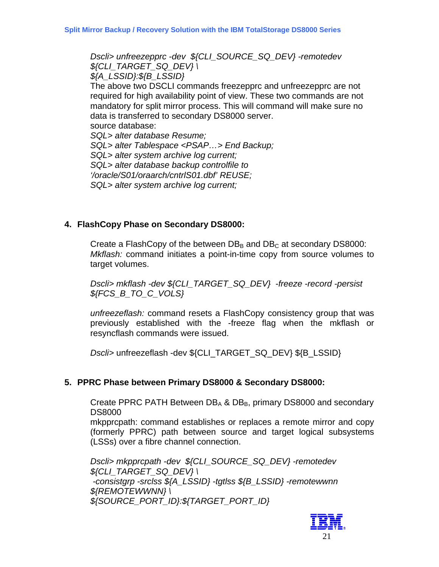*Dscli> unfreezepprc -dev \${CLI\_SOURCE\_SQ\_DEV} -remotedev \${CLI\_TARGET\_SQ\_DEV} \ \${A\_LSSID}:\${B\_LSSID}*  The above two DSCLI commands freezepprc and unfreezepprc are not required for high availability point of view. These two commands are not mandatory for split mirror process. This will command will make sure no data is transferred to secondary DS8000 server. source database: *SQL> alter database Resume; SQL> alter Tablespace <PSAP…> End Backup; SQL> alter system archive log current; SQL> alter database backup controlfile to '/oracle/S01/oraarch/cntrlS01.dbf' REUSE; SQL> alter system archive log current;* 

### **4. FlashCopy Phase on Secondary DS8000:**

Create a FlashCopy of the between  $DB_B$  and  $DB_C$  at secondary DS8000: *Mkflash:* command initiates a point-in-time copy from source volumes to target volumes.

*Dscli> mkflash -dev \${CLI\_TARGET\_SQ\_DEV} -freeze -record -persist \${FCS\_B\_TO\_C\_VOLS}* 

*unfreezeflash:* command resets a FlashCopy consistency group that was previously established with the -freeze flag when the mkflash or resyncflash commands were issued.

*Dscli>* unfreezeflash -dev \${CLI\_TARGET\_SQ\_DEV} \${B\_LSSID}

#### **5. PPRC Phase between Primary DS8000 & Secondary DS8000:**

Create PPRC PATH Between  $DB_A$  &  $DB_B$ , primary DS8000 and secondary DS8000

mkpprcpath: command establishes or replaces a remote mirror and copy (formerly PPRC) path between source and target logical subsystems (LSSs) over a fibre channel connection.

*Dscli> mkpprcpath -dev \${CLI\_SOURCE\_SQ\_DEV} -remotedev \${CLI\_TARGET\_SQ\_DEV} \ -consistgrp -srclss \${A\_LSSID} -tgtlss \${B\_LSSID} -remotewwnn \${REMOTEWWNN} \ \${SOURCE\_PORT\_ID}:\${TARGET\_PORT\_ID}* 

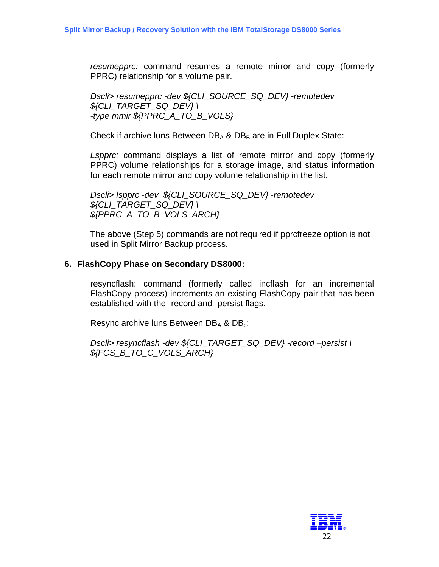*resumepprc:* command resumes a remote mirror and copy (formerly PPRC) relationship for a volume pair.

*Dscli> resumepprc -dev \${CLI\_SOURCE\_SQ\_DEV} -remotedev \${CLI\_TARGET\_SQ\_DEV} \ -type mmir \${PPRC\_A\_TO\_B\_VOLS}* 

Check if archive luns Between  $DB_A$  &  $DB_B$  are in Full Duplex State:

*Lspprc:* command displays a list of remote mirror and copy (formerly PPRC) volume relationships for a storage image, and status information for each remote mirror and copy volume relationship in the list.

*Dscli> lspprc -dev \${CLI\_SOURCE\_SQ\_DEV} -remotedev \${CLI\_TARGET\_SQ\_DEV} \ \${PPRC\_A\_TO\_B\_VOLS\_ARCH}* 

The above (Step 5) commands are not required if pprcfreeze option is not used in Split Mirror Backup process.

### **6. FlashCopy Phase on Secondary DS8000:**

resyncflash: command (formerly called incflash for an incremental FlashCopy process) increments an existing FlashCopy pair that has been established with the -record and -persist flags.

Resync archive luns Between  $DB_A$  &  $DB_c$ :

*Dscli> resyncflash -dev \${CLI\_TARGET\_SQ\_DEV} -record –persist \ \${FCS\_B\_TO\_C\_VOLS\_ARCH}* 

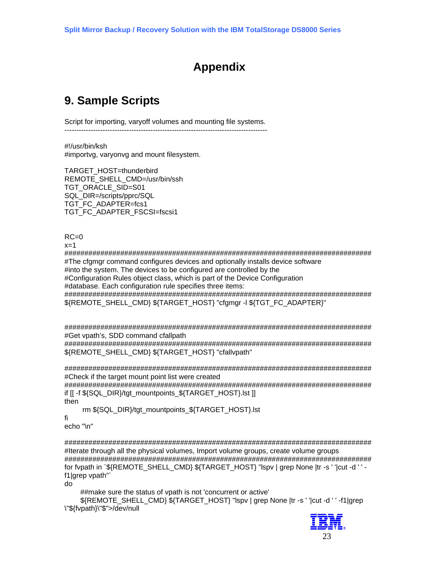# **Appendix**

# <span id="page-22-0"></span>**9. Sample Scripts**

Script for importing, varyoff volumes and mounting file systems. -------------------------------------------------------------------------------------

#!/usr/bin/ksh #importvg, varyonvg and mount filesystem.

TARGET HOST=thunderbird REMOTE\_SHELL\_CMD=/usr/bin/ssh TGT\_ORACLE\_SID=S01 SQL\_DIR=/scripts/pprc/SQL TGT\_FC\_ADAPTER=fcs1 TGT\_FC\_ADAPTER\_FSCSI=fscsi1

 $RC=0$ 

 $x=1$ 

############################################################################# #The cfgmgr command configures devices and optionally installs device software #into the system. The devices to be configured are controlled by the #Configuration Rules object class, which is part of the Device Configuration #database. Each configuration rule specifies three items: ############################################################################# \${REMOTE\_SHELL\_CMD} \${TARGET\_HOST} "cfgmgr -l \${TGT\_FC\_ADAPTER}"

############################################################################# #Get vpath's, SDD command cfallpath

############################################################################# \${REMOTE\_SHELL\_CMD} \${TARGET\_HOST} "cfallvpath"

############################################################################# #Check if the target mount point list were created

############################################################################# if [[ -f \${SQL\_DIR}/tgt\_mountpoints\_\${TARGET\_HOST}.lst ]] then

rm \${SQL\_DIR}/tgt\_mountpoints\_\${TARGET\_HOST}.lst

fi

echo "\n"

############################################################################# #Iterate through all the physical volumes, Import volume groups, create volume groups ############################################################################# for fypath in `\${REMOTE\_SHELL\_CMD} \${TARGET\_HOST} "lspv | grep None |tr -s ' '|cut -d ' ' f1|grep vpath"`

do

##make sure the status of vpath is not 'concurrent or active'

 \${REMOTE\_SHELL\_CMD} \${TARGET\_HOST} "lspv | grep None |tr -s ' '|cut -d ' ' -f1|grep \"\${fvpath}\"\$">/dev/null

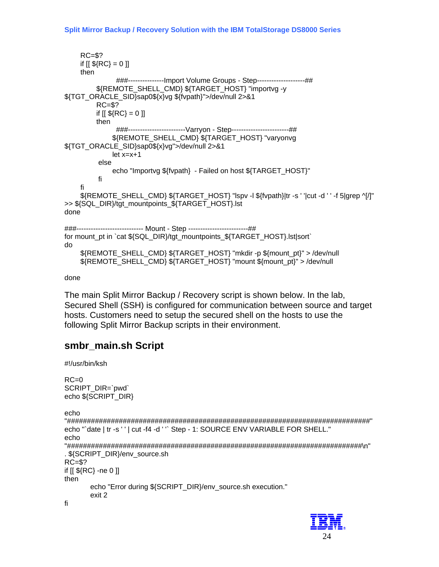```
RC = $?if [[ ${RC} = 0 ]]
    then
               ###----------------Import Volume Groups - Step--------------------##
         ${REMOTE_SHELL_CMD} ${TARGET_HOST} "importvg -y
${TGT_ORACLE_SID}sap0${x}vg ${fvpath}">/dev/null 2>&1
         RC = $?if [[\, \$ \{RC\} = 0 \, ]]then
               ###-----------------------Varryon - Step-----------------------##
              ${REMOTE_SHELL_CMD} ${TARGET_HOST} "varyonvg
${TGT ORACLE SID}sap0${x}vg">/dev/null 2>&1
              let x=x+1else
              echo "Importvg ${fvpath} - Failed on host ${TARGET HOST}"
         fi
    fi
    ${REMOTE SHELL CMD} ${TARGET HOST} "Ispv -I ${fvpath}|tr -s ' '|cut -d ' ' -f 5|grep ^[/]"
>> ${SQL_DIR}/tgt_mountpoints_${TARGET_HOST}.lst
done
###--------------------------- Mount - Step ------------------------##
for mount_pt in `cat ${SQL_DIR}/tgt_mountpoints_${TARGET_HOST}.lst|sort`
do
    ${REMOTE SHELL CMD} ${TARGET HOST} "mkdir -p ${mount pt}" > /dev/null
    ${REMOTE_SHELL_CMD} ${TARGET_HOST} "mount ${mount_pt}" > /dev/null
```
#### done

The main Split Mirror Backup / Recovery script is shown below. In the lab, Secured Shell (SSH) is configured for communication between source and target hosts. Customers need to setup the secured shell on the hosts to use the following Split Mirror Backup scripts in their environment.

### smbr\_main.sh Script

#!/usr/bin/ksh

```
RC=0SCRIPT DIR=`pwd`
echo ${SCRIPT DIR}
echo
echo "'date | tr -s ' ' | cut -f4 -d ' '' Step - 1: SOURCE ENV VARIABLE FOR SHELL."
echo
. ${SCRIPT DIR}/env source.sh
RC = $?if [[ ${RC} -ne 0 ]]
then
    echo "Error during ${SCRIPT_DIR}/env_source.sh execution."
    exit 2
fi
```
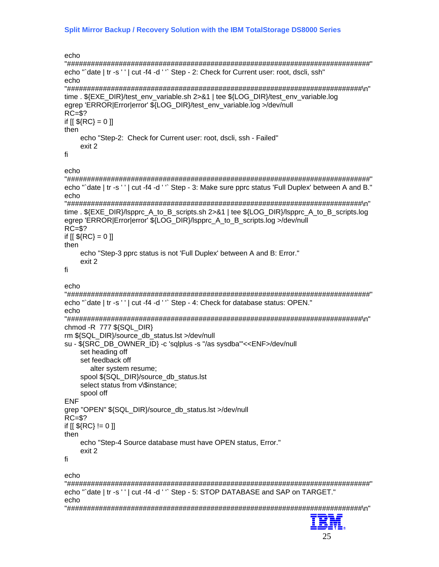```
echo
echo "`date | tr -s ' ' | cut -f4 -d ' '` Step - 2: Check for Current user: root, dscli, ssh"
echo
time . ${EXE DIR}/test env variable.sh 2>&1 | tee ${LOG DIR}/test env variable.log
egrep 'ERROR|Error|error' ${LOG DIR}/test env variable.log >/dev/null
RC = $?if [[\, \${RC}]=0 \, ]]then
   echo "Step-2: Check for Current user: root, dscli, ssh - Failed"
   exit 2
fi
echo
echo "`date | tr -s ' ' | cut -f4 -d ' '` Step - 3: Make sure pprc status 'Full Duplex' between A and B."
echo
time. ${EXE_DIR}/lspprc_A_to_B_scripts.sh 2>&1 | tee ${LOG_DIR}/lspprc_A_to_B_scripts.log
egrep 'ERROR|Error|error' ${LOG_DIR}/lspprc_A_to_B_scripts.log >/dev/null
RC = $?if [[ ${RC} = 0 ]]
then
   echo "Step-3 pprc status is not 'Full Duplex' between A and B: Error."
   exit 2
fi
echo
echo "'date | tr -s ' ' | cut -f4 -d ' " Step - 4: Check for database status: OPEN."
echo
chmod - R 777 ${SQL_DIR}
rm ${SQL DIR}/source db status.lst >/dev/null
su - ${SRC_DB_OWNER_ID} -c 'sqlplus -s "/as sysdba"'<<ENF>/dev/null
   set heading off
   set feedback off
     alter system resume:
   spool ${SQL_DIR}/source_db_status.lst
   select status from v\$instance;
   spool off
ENF
grep "OPEN" ${SQL_DIR}/source_db_status.lst >/dev/null
RC = $?if [[ ${RC} != 0 ]]
then
   echo "Step-4 Source database must have OPEN status. Error."
   exit 2
fi
echo
echo "`date | tr -s ' ' | cut -f4 -d ' '` Step - 5: STOP DATABASE and SAP on TARGET."
echo
œ
```
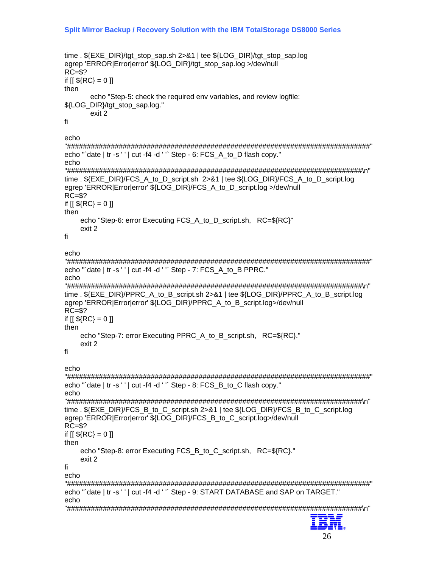```
time. ${EXE_DIR}/tgt_stop_sap.sh 2>&1 | tee ${LOG_DIR}/tgt_stop_sap.log
egrep 'ERROR|Error|error' ${LOG DIR}/tgt stop sap.log >/dev/null
RC = $?if [[ ${RC} = 0 ]]
then
     echo "Step-5: check the required env variables, and review logfile:
${LOG DIR}/tgt stop sap.log."
     exit 2
fi.
echo
echo "'date | tr -s ' ' | cut -f4 -d ' " Step - 6: FCS A to D flash copy."
echo
time ${EXE DIR}/FCS A to D script.sh 2>&1 | tee ${LOG DIR}/FCS A to D script.log
egrep 'ERROR|Error|error' ${LOG_DIR}/FCS_A_to_D_script.log >/dev/null
RC = $?if [[ ${RC} = 0 ]]
then
   echo "Step-6: error Executing FCS_A_to_D_script.sh, RC=${RC}"
   exit 2
fi
echo
echo "`date | tr -s ' ' | cut -f4 -d ' '` Step - 7: FCS A to B PPRC."
echotime . ${EXE DIR}/PPRC A to B script.sh 2>&1 | tee ${LOG DIR}/PPRC A to B script.log
egrep 'ERROR|Error|error' ${LOG_DIR}/PPRC_A_to_B_script.log>/dev/null
RC = $?if [[ ${RC} = 0 ]]
then
   echo "Step-7: error Executing PPRC_A_to_B_script.sh, RC=${RC}."
   exit 2
fi
echo
echo "`date | tr -s ' ' | cut -f4 -d ' '` Step - 8: FCS_B_to_C flash copy."
echo
time. ${EXE_DIR}/FCS_B_to_C_script.sh 2>&1 | tee ${LOG_DIR}/FCS_B_to_C_script.log
egrep 'ERROR|Error|error' ${LOG_DIR}/FCS_B_to_C_script.log>/dev/null
RC = $?if [[ ${RC} = 0 ]]
then
   echo "Step-8: error Executing FCS B to C script.sh, RC=${RC}."
   exit 2
fi.
echo
echo "`date | tr -s ' ' | cut -f4 -d ' '` Step - 9: START DATABASE and SAP on TARGET."
echo
```
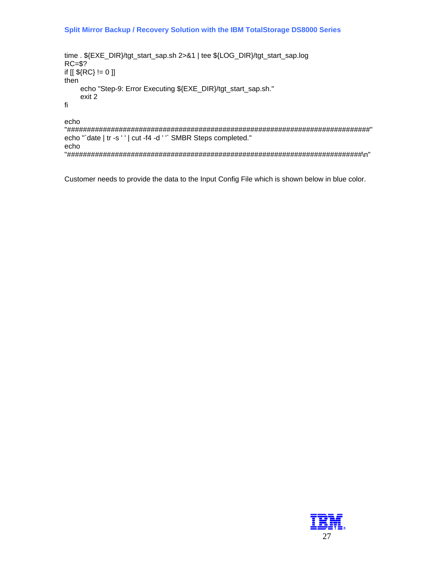```
time. ${EXE_DIR}/tgt_start_sap.sh 2>&1 | tee ${LOG_DIR}/tgt_start_sap.log
RC = $?if [[\, \${RC}\} != 0\, ]]then
    echo "Step-9: Error Executing ${EXE_DIR}/tgt_start_sap.sh."
    exit 2
fi
echo
```
echo "'date | tr -s ' ' | cut -f4 -d ' " SMBR Steps completed." echo 

Customer needs to provide the data to the Input Config File which is shown below in blue color.

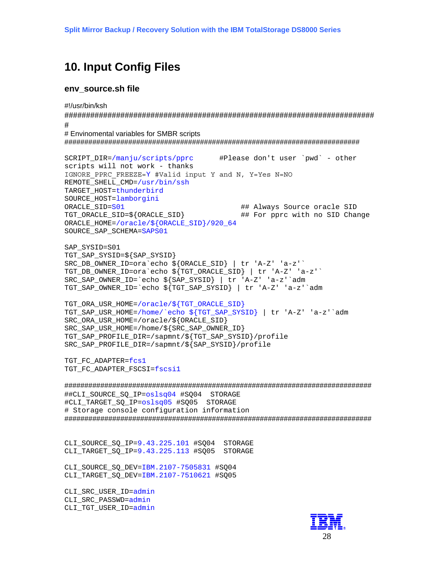## <span id="page-27-0"></span>**10. Input Config Files**

#### env\_source.sh file

#!/usr/bin/ksh

 $#$ 

# Envinomental variables for SMBR scripts 

SCRIPT DIR=/manju/scripts/pprc #Please don't user `pwd` - other scripts will not work - thanks IGNORE PPRC FREEZE=Y #Valid input Y and N, Y=Yes N=NO REMOTE SHELL CMD=/usr/bin/ssh TARGET HOST=thunderbird SOURCE HOST=lamborgini ORACLE SID=S01 ## Always Source oracle SID TGT\_ORACLE\_SID=\${ORACLE\_SID} ## For pprc with no SID Change ORACLE\_HOME=/oracle/\${ORACLE\_SID}/920\_64 SOURCE\_SAP\_SCHEMA=SAPS01

SAP SYSID=S01 TGT\_SAP\_SYSID=\${SAP\_SYSID} SRC\_DB\_OWNER\_ID=ora`echo \${ORACLE\_SID} | tr 'A-Z' 'a-z'` TGT\_DB\_OWNER\_ID=ora`echo \${TGT\_ORACLE\_SID} | tr 'A-Z' 'a-z'` SRC\_SAP\_OWNER\_ID=`echo \${SAP\_SYSID} | tr 'A-Z' 'a-z'`adm TGT\_SAP\_OWNER\_ID=`echo \${TGT\_SAP\_SYSID} | tr 'A-Z' 'a-z'`adm

TGT ORA USR HOME=/oracle/\${TGT ORACLE SID} TGT SAP USR HOME=/home/`echo \${TGT SAP SYSID} | tr 'A-Z' 'a-z'`adm SRC ORA USR HOME=/oracle/\${ORACLE SID} SRC SAP USR HOME=/home/\${SRC SAP OWNER ID} TGT SAP PROFILE DIR=/sapmnt/\${TGT SAP SYSID}/profile SRC SAP PROFILE DIR=/sapmnt/\${SAP SYSID}/profile

TGT FC ADAPTER=fcs1 TGT\_FC\_ADAPTER\_FSCSI=fscsil

##CLI\_SOURCE\_SQ\_IP=oslsq04 #SQ04 STORAGE #CLI\_TARGET\_SQ\_IP=oslsq05 #SQ05 STORAGE # Storage console configuration information 

CLI SOURCE SQ\_IP=9.43.225.101 #SQ04 STORAGE CLI TARGET SO IP=9.43.225.113 #SO05 STORAGE

CLI\_SOURCE\_SQ\_DEV=IBM.2107-7505831 #SQ04 CLI\_TARGET\_SQ\_DEV=IBM.2107-7510621 #SQ05

CLI SRC USER ID=admin CLI\_SRC\_PASSWD=admin CLI\_TGT\_USER\_ID=admin

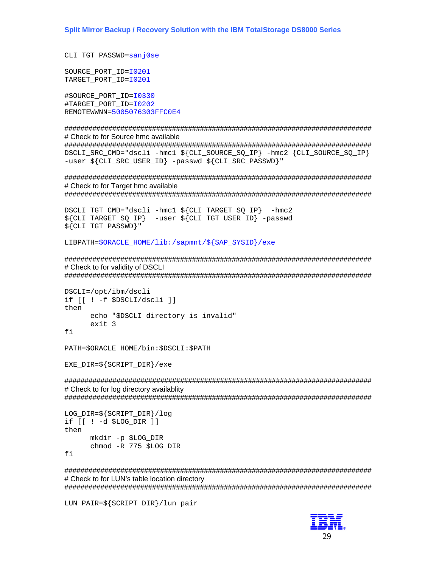CLI TGT PASSWD=sanj0se

SOURCE\_PORT\_ID=10201 TARGET\_PORT\_ID=10201

#SOURCE PORT ID=10330 #TARGET PORT ID=10202 REMOTEWWNN=5005076303FFC0E4

# Check to for Source hmc available

DSCLI SRC CMD="dscli -hmc1 \${CLI SOURCE SO IP} -hmc2 {CLI SOURCE SO IP} -user \${CLI SRC USER ID} -passwd \${CLI SRC PASSWD}"

# Check to for Target hmc available 

```
DSCLI_TGT_CMD="dscli -hmc1 ${CLI_TARGET_SQ_IP} -hmc2
${CLI TARGET SQ IP} -user ${CLI TGT USER ID} -passwd
${CLI} TGT PASSWD}"
```
LIBPATH=\$ORACLE HOME/lib:/sapmnt/\${SAP SYSID}/exe

# Check to for validity of DSCLI

```
DSCLI=/opt/ibm/dscli
if [[ ! -f $DSCLI/dscli ]]
then
      echo "$DSCLI directory is invalid"
      exit 3
fi
```
PATH=\$ORACLE HOME/bin:\$DSCLI:\$PATH

EXE DIR=\${SCRIPT DIR}/exe

# Check to for log directory availablity 

```
LOG_DIR = \frac{5}{2} SCRIPT_DIR /log
if [[ ! -d $LOG_DIR ]]
then
      mkdir -p $LOG DIR
      chmod -R 775 $LOG DIR
```
fi

# Check to for LUN's table location directory 

LUN\_PAIR=\${SCRIPT\_DIR}/lun\_pair

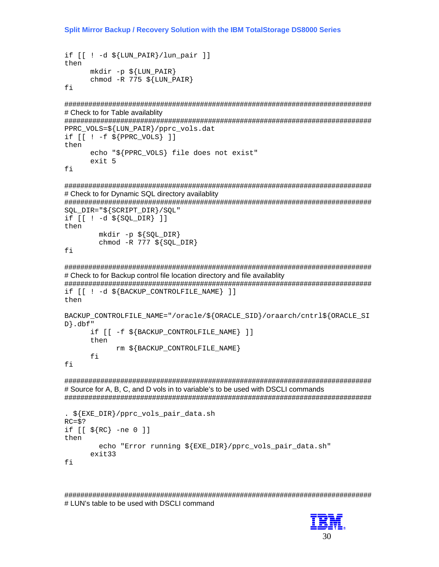```
if [[ ! -d ${LUN_PAIR}/lun_pair ]]
thenmkdir -p \{LUN_PAIR}
      chmod -R 775 \sharp[LUN_PAIR]
```
fi

# Check to for Table availablity

PPRC\_VOLS=\${LUN\_PAIR}/pprc\_vols.dat

```
if [ [ : -f ${PPRC_VOLS} ] ]then
      echo "${PPRC VOLS} file does not exist"
      exit 5
```
fi

# Check to for Dynamic SQL directory availablity

 $SQL$   $DIR="$   $\frac{2}{3}$   $SCRIPT$   $DIR$   $/SQL$ "

```
if [ [ : -d \${SQL_DIR} ] ]then
        mkdir -p \ (SQL DIR)
        chmod -R 777 \S{SQL DIR}
```
fi

# Check to for Backup control file location directory and file availablity

if [[ ! -d \$ {BACKUP CONTROLFILE NAME } ] ]

```
then
```
fi

```
BACKUP_CONTROLFILE_NAME="/oracle/${ORACLE_SID}/oraarch/cntrl${ORACLE_SI
D.dbf"
      if [[ -f $ {BACKUP CONTROLFILE NAME } ] ]
      then
```

```
rm ${BACKUP CONTROLFILE NAME}
f_i
```
# Source for A, B, C, and D vols in to variable's to be used with DSCLI commands 

```
. ${EXE_DIR}/pprc_vols_pair_data.sh
RC = $?if [ [ $ \$RC \} -ne 0 ] ]then
        echo "Error running ${EXE DIR}/pprc vols pair data.sh"
      exit33
fi
```
# LUN's table to be used with DSCLI command

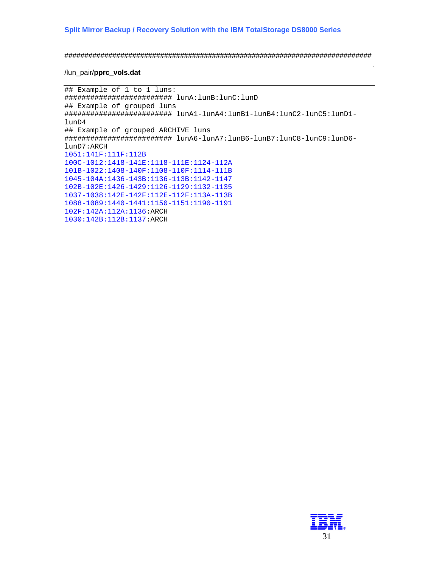```
#############################################################################
```
#### /lun\_pair/**pprc\_vols.dat**

```
## Example of 1 to 1 luns: 
######################### lunA:lunB:lunC:lunD 
## Example of grouped luns 
######################### lunA1-lunA4:lunB1-lunB4:lunC2-lunC5:lunD1-
lunD4 
## Example of grouped ARCHIVE luns 
######################### lunA6-lunA7:lunB6-lunB7:lunC8-lunC9:lunD6-
lunD7:ARCH 
1051:141F:111F:112B 
100C-1012:1418-141E:1118-111E:1124-112A 
101B-1022:1408-140F:1108-110F:1114-111B 
1045-104A:1436-143B:1136-113B:1142-1147 
102B-102E:1426-1429:1126-1129:1132-1135 
1037-1038:142E-142F:112E-112F:113A-113B 
1088-1089:1440-1441:1150-1151:1190-1191 
102F:142A:112A:1136:ARCH 
1030:142B:112B:1137:ARCH
```


.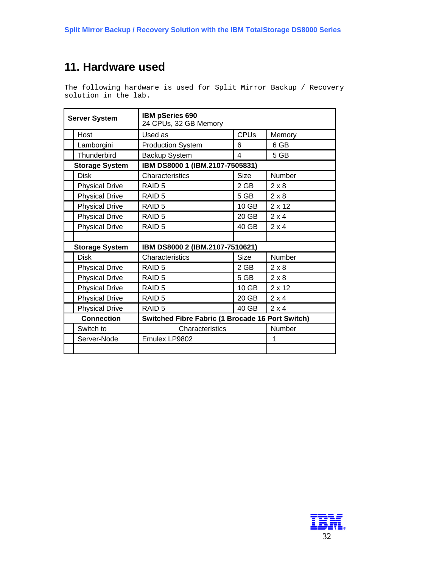# <span id="page-31-0"></span>**11. Hardware used**

The following hardware is used for Split Mirror Backup / Recovery solution in the lab.

|                       | <b>Server System</b>  | IBM pSeries 690<br>24 CPUs, 32 GB Memory         |             |               |
|-----------------------|-----------------------|--------------------------------------------------|-------------|---------------|
|                       | Host                  | Used as                                          | <b>CPUs</b> | Memory        |
|                       | Lamborgini            | <b>Production System</b>                         | 6           | 6 GB          |
|                       | Thunderbird           | Backup System                                    | 4           | 5 GB          |
|                       | <b>Storage System</b> | IBM DS8000 1 (IBM.2107-7505831)                  |             |               |
|                       | <b>Disk</b>           | Characteristics                                  | <b>Size</b> | Number        |
|                       | <b>Physical Drive</b> | RAID <sub>5</sub>                                | $2$ GB      | $2 \times 8$  |
|                       | <b>Physical Drive</b> | RAID <sub>5</sub>                                | 5 GB        | $2 \times 8$  |
|                       | <b>Physical Drive</b> | RAID <sub>5</sub>                                | 10 GB       | $2 \times 12$ |
|                       | <b>Physical Drive</b> | RAID <sub>5</sub>                                | 20 GB       | $2 \times 4$  |
|                       | <b>Physical Drive</b> | RAID <sub>5</sub>                                | 40 GB       | $2 \times 4$  |
|                       |                       |                                                  |             |               |
| <b>Storage System</b> |                       | IBM DS8000 2 (IBM.2107-7510621)                  |             |               |
|                       | <b>Disk</b>           | Characteristics                                  | <b>Size</b> | Number        |
|                       | <b>Physical Drive</b> | RAID <sub>5</sub>                                | 2 GB        | $2 \times 8$  |
|                       | <b>Physical Drive</b> | RAID <sub>5</sub>                                | 5 GB        | $2 \times 8$  |
|                       | <b>Physical Drive</b> | RAID <sub>5</sub>                                | 10 GB       | $2 \times 12$ |
|                       | <b>Physical Drive</b> | RAID <sub>5</sub>                                | 20 GB       | $2 \times 4$  |
|                       | <b>Physical Drive</b> | RAID <sub>5</sub>                                | 40 GB       | $2 \times 4$  |
|                       | <b>Connection</b>     | Switched Fibre Fabric (1 Brocade 16 Port Switch) |             |               |
|                       | Switch to             | Characteristics                                  |             | Number        |
|                       | Server-Node           | Emulex LP9802                                    |             | 1             |
|                       |                       |                                                  |             |               |

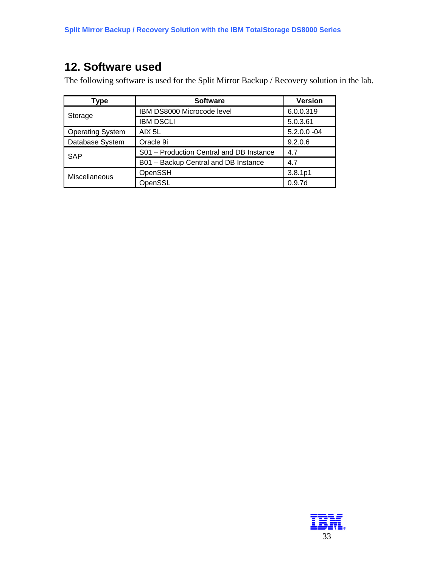# <span id="page-32-0"></span>**12. Software used**

The following software is used for the Split Mirror Backup / Recovery solution in the lab.

| <b>Type</b>             | <b>Software</b>                          | <b>Version</b>     |
|-------------------------|------------------------------------------|--------------------|
| Storage                 | IBM DS8000 Microcode level               | 6.0.0.319          |
|                         | <b>IBM DSCLI</b>                         | 5.0.3.61           |
| <b>Operating System</b> | AIX 5L                                   | $5.2.0.0 -04$      |
| Database System         | Oracle 9i                                | 9.2.0.6            |
| <b>SAP</b>              | S01 - Production Central and DB Instance | 4.7                |
|                         | B01 - Backup Central and DB Instance     | 4.7                |
| Miscellaneous           | OpenSSH                                  | 3.8.1p1            |
|                         | OpenSSL                                  | 0.9.7 <sub>d</sub> |

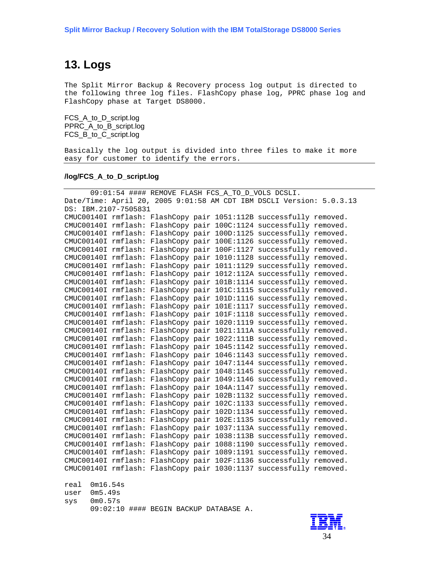# <span id="page-33-0"></span>**13. Logs**

The Split Mirror Backup & Recovery process log output is directed to the following three log files. FlashCopy phase log, PPRC phase log and FlashCopy phase at Target DS8000.

FCS\_A\_to\_D\_script.log PPRC\_A\_to\_B\_script.log FCS\_B\_to\_C\_script.log

Basically the log output is divided into three files to make it more easy for customer to identify the errors.

#### **/log/FCS\_A\_to\_D\_script.log**

| 09:01:54 #### REMOVE FLASH FCS_A_TO_D_VOLS DCSLI.                    |  |                                        |  |                          |                                                                    |  |
|----------------------------------------------------------------------|--|----------------------------------------|--|--------------------------|--------------------------------------------------------------------|--|
| Date/Time: April 20, 2005 9:01:58 AM CDT IBM DSCLI Version: 5.0.3.13 |  |                                        |  |                          |                                                                    |  |
| DS: IBM.2107-7505831                                                 |  |                                        |  |                          |                                                                    |  |
|                                                                      |  |                                        |  |                          | CMUC00140I rmflash: FlashCopy pair 1051:112B successfully removed. |  |
|                                                                      |  |                                        |  |                          | CMUC00140I rmflash: FlashCopy pair 100C:1124 successfully removed. |  |
| CMUC00140I rmflash:                                                  |  |                                        |  |                          | FlashCopy pair 100D:1125 successfully removed.                     |  |
| CMUC00140I rmflash:                                                  |  |                                        |  |                          | FlashCopy pair 100E:1126 successfully removed.                     |  |
| CMUC00140I rmflash:                                                  |  |                                        |  |                          | FlashCopy pair 100F:1127 successfully removed.                     |  |
| CMUC00140I rmflash:                                                  |  |                                        |  |                          | FlashCopy pair 1010:1128 successfully removed.                     |  |
| CMUC00140I rmflash:                                                  |  |                                        |  |                          | FlashCopy pair 1011:1129 successfully removed.                     |  |
| CMUC00140I rmflash:                                                  |  |                                        |  |                          | FlashCopy pair 1012:112A successfully removed.                     |  |
| CMUC00140I rmflash:                                                  |  |                                        |  |                          | FlashCopy pair 101B:1114 successfully removed.                     |  |
| CMUC00140I rmflash:                                                  |  |                                        |  |                          | FlashCopy pair 101C:1115 successfully removed.                     |  |
| CMUC00140I rmflash:                                                  |  |                                        |  |                          | FlashCopy pair 101D:1116 successfully removed.                     |  |
| CMUC00140I rmflash:                                                  |  |                                        |  |                          | FlashCopy pair 101E:1117 successfully removed.                     |  |
| CMUC00140I rmflash:                                                  |  |                                        |  |                          | FlashCopy pair 101F:1118 successfully removed.                     |  |
| CMUC00140I rmflash:                                                  |  |                                        |  | FlashCopy pair 1020:1119 | successfully removed.                                              |  |
| CMUC00140I rmflash:                                                  |  |                                        |  |                          | FlashCopy pair 1021:111A successfully removed.                     |  |
| CMUC00140I rmflash:                                                  |  |                                        |  | FlashCopy pair 1022:111B | successfully removed.                                              |  |
| CMUC00140I rmflash:                                                  |  |                                        |  | FlashCopy pair 1045:1142 | successfully removed.                                              |  |
| CMUC00140I rmflash:                                                  |  |                                        |  |                          | FlashCopy pair 1046:1143 successfully removed.                     |  |
| CMUC00140I rmflash:                                                  |  |                                        |  |                          | FlashCopy pair 1047:1144 successfully removed.                     |  |
| CMUC00140I rmflash:                                                  |  |                                        |  |                          | FlashCopy pair 1048:1145 successfully removed.                     |  |
| CMUC00140I rmflash:                                                  |  |                                        |  |                          | FlashCopy pair 1049:1146 successfully removed.                     |  |
| CMUC00140I rmflash:                                                  |  |                                        |  |                          | FlashCopy pair 104A:1147 successfully removed.                     |  |
| CMUC00140I rmflash:                                                  |  |                                        |  |                          | FlashCopy pair 102B:1132 successfully removed.                     |  |
| CMUC00140I rmflash:                                                  |  |                                        |  |                          | FlashCopy pair 102C:1133 successfully removed.                     |  |
| CMUC00140I rmflash:                                                  |  |                                        |  |                          | FlashCopy pair 102D:1134 successfully removed.                     |  |
| CMUC00140I rmflash:                                                  |  |                                        |  |                          | FlashCopy pair 102E:1135 successfully removed.                     |  |
| CMUC00140I rmflash:                                                  |  |                                        |  |                          | FlashCopy pair 1037:113A successfully removed.                     |  |
| CMUC00140I rmflash:                                                  |  |                                        |  |                          | FlashCopy pair 1038:113B successfully removed.                     |  |
| CMUC00140I rmflash:                                                  |  |                                        |  |                          | FlashCopy pair 1088:1190 successfully removed.                     |  |
| CMUC00140I rmflash:                                                  |  |                                        |  |                          | FlashCopy pair 1089:1191 successfully removed.                     |  |
| CMUC00140I rmflash:                                                  |  |                                        |  |                          | FlashCopy pair 102F:1136 successfully removed.                     |  |
| CMUC00140I rmflash:                                                  |  |                                        |  |                          | FlashCopy pair 1030:1137 successfully removed.                     |  |
|                                                                      |  |                                        |  |                          |                                                                    |  |
| 0m16.54s<br>real                                                     |  |                                        |  |                          |                                                                    |  |
| 0m5.49s<br>user                                                      |  |                                        |  |                          |                                                                    |  |
| 0m0.57s<br>sys                                                       |  |                                        |  |                          |                                                                    |  |
|                                                                      |  | 09:02:10 #### BEGIN BACKUP DATABASE A. |  |                          |                                                                    |  |
|                                                                      |  |                                        |  |                          |                                                                    |  |

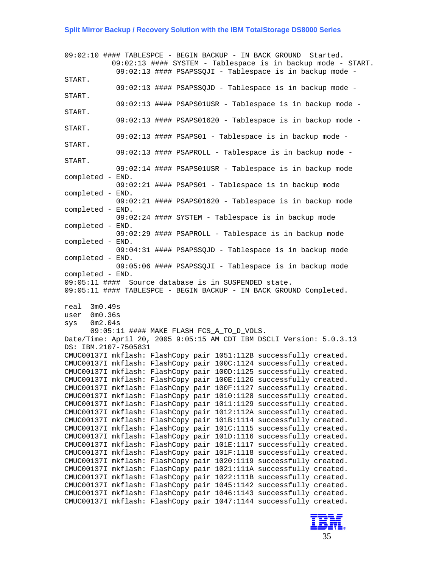09:02:10 #### TABLESPCE - BEGIN BACKUP - IN BACK GROUND Started. 09:02:13 #### SYSTEM - Tablespace is in backup mode - START. 09:02:13 #### PSAPSSQJI - Tablespace is in backup mode - START. 09:02:13 #### PSAPSSQJD - Tablespace is in backup mode - START. 09:02:13 #### PSAPS01USR - Tablespace is in backup mode - START. 09:02:13 #### PSAPS01620 - Tablespace is in backup mode - START. 09:02:13 #### PSAPS01 - Tablespace is in backup mode - START. 09:02:13 #### PSAPROLL - Tablespace is in backup mode - START. 09:02:14 #### PSAPS01USR - Tablespace is in backup mode completed - END. 09:02:21 #### PSAPS01 - Tablespace is in backup mode completed - END. 09:02:21 #### PSAPS01620 - Tablespace is in backup mode completed - END. 09:02:24 #### SYSTEM - Tablespace is in backup mode completed - END. 09:02:29 #### PSAPROLL - Tablespace is in backup mode completed - END. 09:04:31 #### PSAPSSQJD - Tablespace is in backup mode completed - END. 09:05:06 #### PSAPSSQJI - Tablespace is in backup mode completed - END. 09:05:11 #### Source database is in SUSPENDED state. 09:05:11 #### TABLESPCE - BEGIN BACKUP - IN BACK GROUND Completed. real 3m0.49s user 0m0.36s sys 0m2.04s 09:05:11 #### MAKE FLASH FCS\_A\_TO\_D\_VOLS. Date/Time: April 20, 2005 9:05:15 AM CDT IBM DSCLI Version: 5.0.3.13 DS: IBM.2107-7505831 CMUC00137I mkflash: FlashCopy pair 1051:112B successfully created. CMUC00137I mkflash: FlashCopy pair 100C:1124 successfully created. CMUC00137I mkflash: FlashCopy pair 100D:1125 successfully created. CMUC00137I mkflash: FlashCopy pair 100E:1126 successfully created. CMUC00137I mkflash: FlashCopy pair 100F:1127 successfully created. CMUC00137I mkflash: FlashCopy pair 1010:1128 successfully created. CMUC00137I mkflash: FlashCopy pair 1011:1129 successfully created. CMUC00137I mkflash: FlashCopy pair 1012:112A successfully created. CMUC00137I mkflash: FlashCopy pair 101B:1114 successfully created. CMUC00137I mkflash: FlashCopy pair 101C:1115 successfully created. CMUC00137I mkflash: FlashCopy pair 101D:1116 successfully created. CMUC00137I mkflash: FlashCopy pair 101E:1117 successfully created. CMUC00137I mkflash: FlashCopy pair 101F:1118 successfully created. CMUC00137I mkflash: FlashCopy pair 1020:1119 successfully created. CMUC00137I mkflash: FlashCopy pair 1021:111A successfully created. CMUC00137I mkflash: FlashCopy pair 1022:111B successfully created. CMUC00137I mkflash: FlashCopy pair 1045:1142 successfully created. CMUC00137I mkflash: FlashCopy pair 1046:1143 successfully created. CMUC00137I mkflash: FlashCopy pair 1047:1144 successfully created.

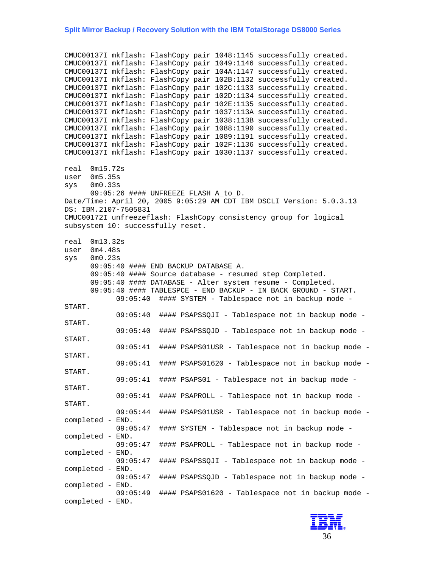CMUC00137I mkflash: FlashCopy pair 1048:1145 successfully created. CMUC00137I mkflash: FlashCopy pair 1049:1146 successfully created. CMUC00137I mkflash: FlashCopy pair 104A:1147 successfully created. CMUC00137I mkflash: FlashCopy pair 102B:1132 successfully created. CMUC00137I mkflash: FlashCopy pair 102C:1133 successfully created. CMUC00137I mkflash: FlashCopy pair 102D:1134 successfully created. CMUC00137I mkflash: FlashCopy pair 102E:1135 successfully created. CMUC00137I mkflash: FlashCopy pair 1037:113A successfully created. CMUC00137I mkflash: FlashCopy pair 1038:113B successfully created. CMUC00137I mkflash: FlashCopy pair 1088:1190 successfully created. CMUC00137I mkflash: FlashCopy pair 1089:1191 successfully created. CMUC00137I mkflash: FlashCopy pair 102F:1136 successfully created. CMUC00137I mkflash: FlashCopy pair 1030:1137 successfully created. real 0m15.72s user 0m5.35s sys 0m0.33s 09:05:26 #### UNFREEZE FLASH A\_to\_D. Date/Time: April 20, 2005 9:05:29 AM CDT IBM DSCLI Version: 5.0.3.13 DS: IBM.2107-7505831 CMUC00172I unfreezeflash: FlashCopy consistency group for logical subsystem 10: successfully reset. real 0m13.32s user 0m4.48s sys 0m0.23s 09:05:40 #### END BACKUP DATABASE A. 09:05:40 #### Source database - resumed step Completed. 09:05:40 #### DATABASE - Alter system resume - Completed. 09:05:40 #### TABLESPCE - END BACKUP - IN BACK GROUND - START. 09:05:40 #### SYSTEM - Tablespace not in backup mode - START. 09:05:40 #### PSAPSSQJI - Tablespace not in backup mode - START. 09:05:40 #### PSAPSSQJD - Tablespace not in backup mode - START. 09:05:41 #### PSAPS01USR - Tablespace not in backup mode - START. 09:05:41 #### PSAPS01620 - Tablespace not in backup mode - START. 09:05:41 #### PSAPS01 - Tablespace not in backup mode - START. 09:05:41 #### PSAPROLL - Tablespace not in backup mode - START. 09:05:44 #### PSAPS01USR - Tablespace not in backup mode completed - END. 09:05:47 #### SYSTEM - Tablespace not in backup mode completed - END. 09:05:47 #### PSAPROLL - Tablespace not in backup mode completed - END. 09:05:47 #### PSAPSSQJI - Tablespace not in backup mode completed - END. 09:05:47 #### PSAPSSQJD - Tablespace not in backup mode completed - END. 09:05:49 #### PSAPS01620 - Tablespace not in backup mode completed - END.

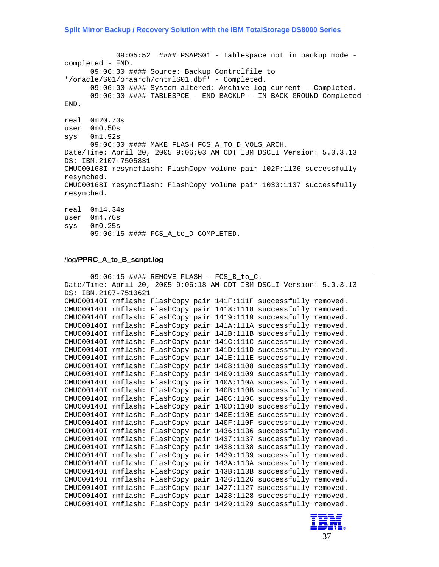09:05:52 #### PSAPS01 - Tablespace not in backup mode completed - END. 09:06:00 #### Source: Backup Controlfile to '/oracle/S01/oraarch/cntrlS01.dbf' - Completed. 09:06:00 #### System altered: Archive log current - Completed. 09:06:00 #### TABLESPCE - END BACKUP - IN BACK GROUND Completed - END. real 0m20.70s user 0m0.50s sys 0m1.92s 09:06:00 #### MAKE FLASH FCS\_A\_TO\_D\_VOLS\_ARCH. Date/Time: April 20, 2005 9:06:03 AM CDT IBM DSCLI Version: 5.0.3.13 DS: IBM.2107-7505831 CMUC00168I resyncflash: FlashCopy volume pair 102F:1136 successfully resynched. CMUC00168I resyncflash: FlashCopy volume pair 1030:1137 successfully resynched. real 0m14.34s user 0m4.76s sys 0m0.25s 09:06:15 #### FCS\_A\_to\_D COMPLETED.

#### /log/**PPRC\_A\_to\_B\_script.log**

```
09:06:15 #### REMOVE FLASH - FCS_B_to_C. 
Date/Time: April 20, 2005 9:06:18 AM CDT IBM DSCLI Version: 5.0.3.13 
DS: IBM.2107-7510621 
CMUC00140I rmflash: FlashCopy pair 141F:111F successfully removed. 
CMUC00140I rmflash: FlashCopy pair 1418:1118 successfully removed. 
CMUC00140I rmflash: FlashCopy pair 1419:1119 successfully removed. 
CMUC00140I rmflash: FlashCopy pair 141A:111A successfully removed. 
CMUC00140I rmflash: FlashCopy pair 141B:111B successfully removed. 
CMUC00140I rmflash: FlashCopy pair 141C:111C successfully removed. 
CMUC00140I rmflash: FlashCopy pair 141D:111D successfully removed. 
CMUC00140I rmflash: FlashCopy pair 141E:111E successfully removed. 
CMUC00140I rmflash: FlashCopy pair 1408:1108 successfully removed. 
CMUC00140I rmflash: FlashCopy pair 1409:1109 successfully removed. 
CMUC00140I rmflash: FlashCopy pair 140A:110A successfully removed. 
CMUC00140I rmflash: FlashCopy pair 140B:110B successfully removed. 
CMUC00140I rmflash: FlashCopy pair 140C:110C successfully removed. 
CMUC00140I rmflash: FlashCopy pair 140D:110D successfully removed. 
CMUC00140I rmflash: FlashCopy pair 140E:110E successfully removed. 
CMUC00140I rmflash: FlashCopy pair 140F:110F successfully removed. 
CMUC00140I rmflash: FlashCopy pair 1436:1136 successfully removed. 
CMUC00140I rmflash: FlashCopy pair 1437:1137 successfully removed. 
CMUC00140I rmflash: FlashCopy pair 1438:1138 successfully removed. 
CMUC00140I rmflash: FlashCopy pair 1439:1139 successfully removed. 
CMUC00140I rmflash: FlashCopy pair 143A:113A successfully removed. 
CMUC00140I rmflash: FlashCopy pair 143B:113B successfully removed. 
CMUC00140I rmflash: FlashCopy pair 1426:1126 successfully removed. 
CMUC00140I rmflash: FlashCopy pair 1427:1127 successfully removed. 
CMUC00140I rmflash: FlashCopy pair 1428:1128 successfully removed. 
CMUC00140I rmflash: FlashCopy pair 1429:1129 successfully removed.
```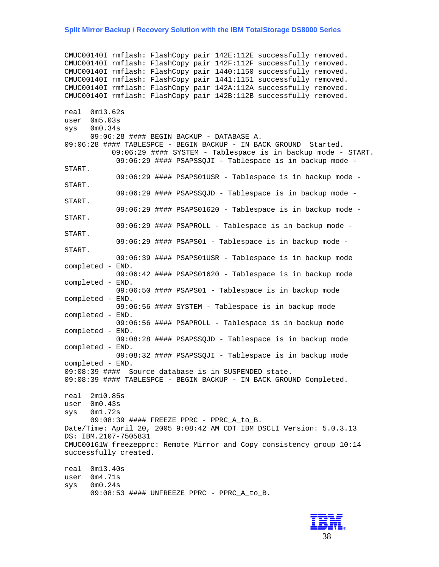CMUC00140I rmflash: FlashCopy pair 142E:112E successfully removed. CMUC00140I rmflash: FlashCopy pair 142F:112F successfully removed. CMUC00140I rmflash: FlashCopy pair 1440:1150 successfully removed. CMUC00140I rmflash: FlashCopy pair 1441:1151 successfully removed. CMUC00140I rmflash: FlashCopy pair 142A:112A successfully removed. CMUC00140I rmflash: FlashCopy pair 142B:112B successfully removed. real 0m13.62s user 0m5.03s sys 0m0.34s 09:06:28 #### BEGIN BACKUP - DATABASE A. 09:06:28 #### TABLESPCE - BEGIN BACKUP - IN BACK GROUND Started. 09:06:29 #### SYSTEM - Tablespace is in backup mode - START. 09:06:29 #### PSAPSSQJI - Tablespace is in backup mode - START. 09:06:29 #### PSAPS01USR - Tablespace is in backup mode - START. 09:06:29 #### PSAPSSQJD - Tablespace is in backup mode - START. 09:06:29 #### PSAPS01620 - Tablespace is in backup mode - START. 09:06:29 #### PSAPROLL - Tablespace is in backup mode - START. 09:06:29 #### PSAPS01 - Tablespace is in backup mode - START. 09:06:39 #### PSAPS01USR - Tablespace is in backup mode completed - END. 09:06:42 #### PSAPS01620 - Tablespace is in backup mode completed - END. 09:06:50 #### PSAPS01 - Tablespace is in backup mode completed - END. 09:06:56 #### SYSTEM - Tablespace is in backup mode completed - END. 09:06:56 #### PSAPROLL - Tablespace is in backup mode completed - END. 09:08:28 #### PSAPSSQJD - Tablespace is in backup mode completed - END. 09:08:32 #### PSAPSSQJI - Tablespace is in backup mode completed - END. 09:08:39 #### Source database is in SUSPENDED state. 09:08:39 #### TABLESPCE - BEGIN BACKUP - IN BACK GROUND Completed. real 2m10.85s user 0m0.43s sys 0m1.72s 09:08:39 #### FREEZE PPRC - PPRC\_A\_to\_B. Date/Time: April 20, 2005 9:08:42 AM CDT IBM DSCLI Version: 5.0.3.13 DS: IBM.2107-7505831 CMUC00161W freezepprc: Remote Mirror and Copy consistency group 10:14 successfully created. real 0m13.40s user 0m4.71s sys 0m0.24s

09:08:53 #### UNFREEZE PPRC - PPRC A to B.

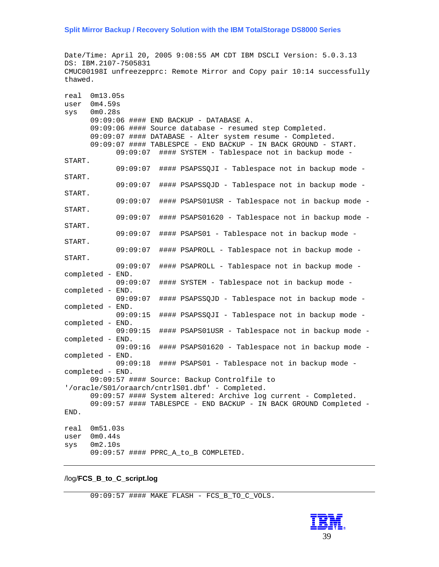Date/Time: April 20, 2005 9:08:55 AM CDT IBM DSCLI Version: 5.0.3.13 DS: IBM.2107-7505831 CMUC00198I unfreezepprc: Remote Mirror and Copy pair 10:14 successfully thawed.

```
real 0m13.05s 
user 0m4.59s 
sys 0m0.28s 
      09:09:06 #### END BACKUP - DATABASE A. 
      09:09:06 #### Source database - resumed step Completed. 
      09:09:07 #### DATABASE - Alter system resume - Completed. 
      09:09:07 #### TABLESPCE - END BACKUP - IN BACK GROUND - START. 
            09:09:07 #### SYSTEM - Tablespace not in backup mode - 
START. 
            09:09:07 #### PSAPSSQJI - Tablespace not in backup mode - 
START. 
            09:09:07 #### PSAPSSQJD - Tablespace not in backup mode - 
START. 
            09:09:07 #### PSAPS01USR - Tablespace not in backup mode - 
START. 
            09:09:07 #### PSAPS01620 - Tablespace not in backup mode - 
START. 
            09:09:07 #### PSAPS01 - Tablespace not in backup mode - 
START. 
            09:09:07 #### PSAPROLL - Tablespace not in backup mode - 
START. 
            09:09:07 #### PSAPROLL - Tablespace not in backup mode - 
completed - END. 
            09:09:07 #### SYSTEM - Tablespace not in backup mode - 
completed - END. 
            09:09:07 #### PSAPSSQJD - Tablespace not in backup mode - 
completed - END. 
            09:09:15 #### PSAPSSQJI - Tablespace not in backup mode - 
completed - END. 
            09:09:15 #### PSAPS01USR - Tablespace not in backup mode - 
completed - END. 
            09:09:16 #### PSAPS01620 - Tablespace not in backup mode - 
completed - END. 
            09:09:18 #### PSAPS01 - Tablespace not in backup mode - 
completed - END. 
      09:09:57 #### Source: Backup Controlfile to 
'/oracle/S01/oraarch/cntrlS01.dbf' - Completed. 
      09:09:57 #### System altered: Archive log current - Completed. 
      09:09:57 #### TABLESPCE - END BACKUP - IN BACK GROUND Completed - 
END. 
real 0m51.03s 
user 0m0.44s 
sys 0m2.10s 
      09:09:57 #### PPRC_A_to_B COMPLETED.
```
/log/**FCS\_B\_to\_C\_script.log**

09:09:57 #### MAKE FLASH - FCS\_B\_TO\_C\_VOLS.

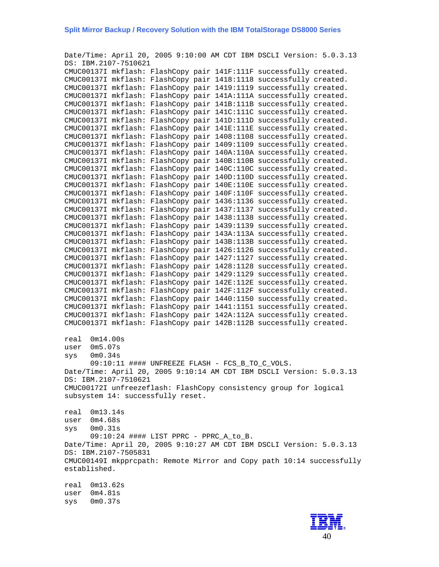Date/Time: April 20, 2005 9:10:00 AM CDT IBM DSCLI Version: 5.0.3.13 DS: IBM.2107-7510621 CMUC00137I mkflash: FlashCopy pair 141F:111F successfully created. CMUC00137I mkflash: FlashCopy pair 1418:1118 successfully created. CMUC00137I mkflash: FlashCopy pair 1419:1119 successfully created. CMUC00137I mkflash: FlashCopy pair 141A:111A successfully created. CMUC00137I mkflash: FlashCopy pair 141B:111B successfully created. CMUC00137I mkflash: FlashCopy pair 141C:111C successfully created. CMUC00137I mkflash: FlashCopy pair 141D:111D successfully created. CMUC00137I mkflash: FlashCopy pair 141E:111E successfully created. CMUC00137I mkflash: FlashCopy pair 1408:1108 successfully created. CMUC00137I mkflash: FlashCopy pair 1409:1109 successfully created. CMUC00137I mkflash: FlashCopy pair 140A:110A successfully created. CMUC00137I mkflash: FlashCopy pair 140B:110B successfully created. CMUC00137I mkflash: FlashCopy pair 140C:110C successfully created. CMUC00137I mkflash: FlashCopy pair 140D:110D successfully created. CMUC00137I mkflash: FlashCopy pair 140E:110E successfully created. CMUC00137I mkflash: FlashCopy pair 140F:110F successfully created. CMUC00137I mkflash: FlashCopy pair 1436:1136 successfully created. CMUC00137I mkflash: FlashCopy pair 1437:1137 successfully created. CMUC00137I mkflash: FlashCopy pair 1438:1138 successfully created. CMUC00137I mkflash: FlashCopy pair 1439:1139 successfully created. CMUC00137I mkflash: FlashCopy pair 143A:113A successfully created. CMUC00137I mkflash: FlashCopy pair 143B:113B successfully created. CMUC00137I mkflash: FlashCopy pair 1426:1126 successfully created. CMUC00137I mkflash: FlashCopy pair 1427:1127 successfully created. CMUC00137I mkflash: FlashCopy pair 1428:1128 successfully created. CMUC00137I mkflash: FlashCopy pair 1429:1129 successfully created. CMUC00137I mkflash: FlashCopy pair 142E:112E successfully created. CMUC00137I mkflash: FlashCopy pair 142F:112F successfully created. CMUC00137I mkflash: FlashCopy pair 1440:1150 successfully created. CMUC00137I mkflash: FlashCopy pair 1441:1151 successfully created. CMUC00137I mkflash: FlashCopy pair 142A:112A successfully created. CMUC00137I mkflash: FlashCopy pair 142B:112B successfully created. real 0m14.00s user 0m5.07s sys 0m0.34s 09:10:11 #### UNFREEZE FLASH - FCS B TO C VOLS. Date/Time: April 20, 2005 9:10:14 AM CDT IBM DSCLI Version: 5.0.3.13 DS: IBM.2107-7510621 CMUC00172I unfreezeflash: FlashCopy consistency group for logical subsystem 14: successfully reset. real 0m13.14s user 0m4.68s sys 0m0.31s 09:10:24 #### LIST PPRC - PPRC\_A\_to\_B. Date/Time: April 20, 2005 9:10:27 AM CDT IBM DSCLI Version: 5.0.3.13 DS: IBM.2107-7505831 CMUC00149I mkpprcpath: Remote Mirror and Copy path 10:14 successfully established. real 0m13.62s user 0m4.81s sys 0m0.37s

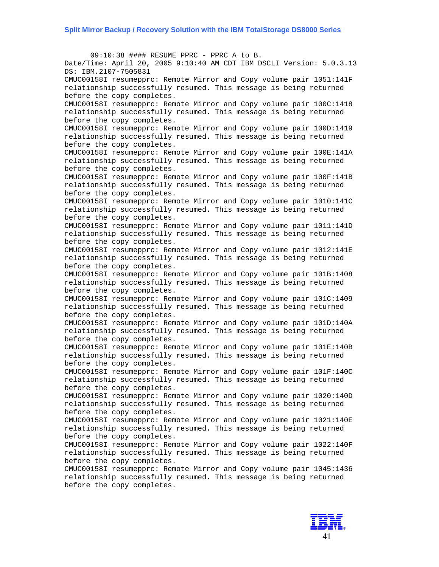$09:10:38$  #### RESUME PPRC - PPRC A to B. Date/Time: April 20, 2005 9:10:40 AM CDT IBM DSCLI Version: 5.0.3.13 DS: IBM.2107-7505831 CMUC00158I resumepprc: Remote Mirror and Copy volume pair 1051:141F relationship successfully resumed. This message is being returned before the copy completes. CMUC00158I resumepprc: Remote Mirror and Copy volume pair 100C:1418 relationship successfully resumed. This message is being returned before the copy completes. CMUC00158I resumepprc: Remote Mirror and Copy volume pair 100D:1419 relationship successfully resumed. This message is being returned before the copy completes. CMUC00158I resumepprc: Remote Mirror and Copy volume pair 100E:141A relationship successfully resumed. This message is being returned before the copy completes. CMUC00158I resumepprc: Remote Mirror and Copy volume pair 100F:141B relationship successfully resumed. This message is being returned before the copy completes. CMUC00158I resumepprc: Remote Mirror and Copy volume pair 1010:141C relationship successfully resumed. This message is being returned before the copy completes. CMUC00158I resumepprc: Remote Mirror and Copy volume pair 1011:141D relationship successfully resumed. This message is being returned before the copy completes. CMUC00158I resumepprc: Remote Mirror and Copy volume pair 1012:141E relationship successfully resumed. This message is being returned before the copy completes. CMUC00158I resumepprc: Remote Mirror and Copy volume pair 101B:1408 relationship successfully resumed. This message is being returned before the copy completes. CMUC00158I resumepprc: Remote Mirror and Copy volume pair 101C:1409 relationship successfully resumed. This message is being returned before the copy completes. CMUC00158I resumepprc: Remote Mirror and Copy volume pair 101D:140A relationship successfully resumed. This message is being returned before the copy completes. CMUC00158I resumepprc: Remote Mirror and Copy volume pair 101E:140B relationship successfully resumed. This message is being returned before the copy completes. CMUC00158I resumepprc: Remote Mirror and Copy volume pair 101F:140C relationship successfully resumed. This message is being returned before the copy completes. CMUC00158I resumepprc: Remote Mirror and Copy volume pair 1020:140D relationship successfully resumed. This message is being returned before the copy completes. CMUC00158I resumepprc: Remote Mirror and Copy volume pair 1021:140E relationship successfully resumed. This message is being returned before the copy completes. CMUC00158I resumepprc: Remote Mirror and Copy volume pair 1022:140F relationship successfully resumed. This message is being returned before the copy completes. CMUC00158I resumepprc: Remote Mirror and Copy volume pair 1045:1436 relationship successfully resumed. This message is being returned before the copy completes.

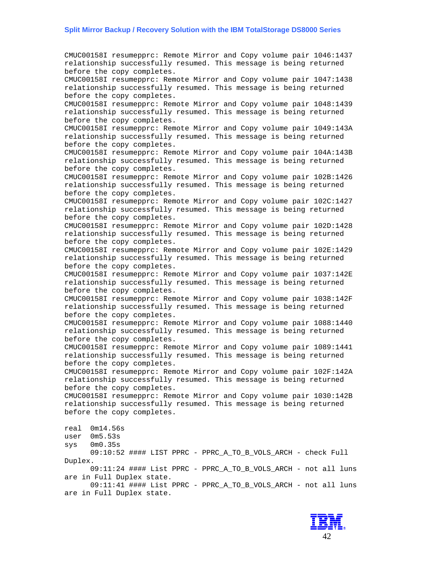CMUC00158I resumepprc: Remote Mirror and Copy volume pair 1046:1437 relationship successfully resumed. This message is being returned before the copy completes. CMUC00158I resumepprc: Remote Mirror and Copy volume pair 1047:1438 relationship successfully resumed. This message is being returned before the copy completes. CMUC00158I resumepprc: Remote Mirror and Copy volume pair 1048:1439 relationship successfully resumed. This message is being returned before the copy completes. CMUC00158I resumepprc: Remote Mirror and Copy volume pair 1049:143A relationship successfully resumed. This message is being returned before the copy completes. CMUC00158I resumepprc: Remote Mirror and Copy volume pair 104A:143B relationship successfully resumed. This message is being returned before the copy completes. CMUC00158I resumepprc: Remote Mirror and Copy volume pair 102B:1426 relationship successfully resumed. This message is being returned before the copy completes. CMUC00158I resumepprc: Remote Mirror and Copy volume pair 102C:1427 relationship successfully resumed. This message is being returned before the copy completes. CMUC00158I resumepprc: Remote Mirror and Copy volume pair 102D:1428 relationship successfully resumed. This message is being returned before the copy completes. CMUC00158I resumepprc: Remote Mirror and Copy volume pair 102E:1429 relationship successfully resumed. This message is being returned before the copy completes. CMUC00158I resumepprc: Remote Mirror and Copy volume pair 1037:142E relationship successfully resumed. This message is being returned before the copy completes. CMUC00158I resumepprc: Remote Mirror and Copy volume pair 1038:142F relationship successfully resumed. This message is being returned before the copy completes. CMUC00158I resumepprc: Remote Mirror and Copy volume pair 1088:1440 relationship successfully resumed. This message is being returned before the copy completes. CMUC00158I resumepprc: Remote Mirror and Copy volume pair 1089:1441 relationship successfully resumed. This message is being returned before the copy completes. CMUC00158I resumepprc: Remote Mirror and Copy volume pair 102F:142A relationship successfully resumed. This message is being returned before the copy completes. CMUC00158I resumepprc: Remote Mirror and Copy volume pair 1030:142B relationship successfully resumed. This message is being returned before the copy completes. real 0m14.56s user 0m5.53s sys 0m0.35s 09:10:52 #### LIST PPRC - PPRC\_A\_TO\_B\_VOLS\_ARCH - check Full Duplex. 09:11:24 #### List PPRC - PPRC\_A\_TO\_B\_VOLS\_ARCH - not all luns are in Full Duplex state. 09:11:41 #### List PPRC - PPRC\_A\_TO\_B\_VOLS\_ARCH - not all luns

are in Full Duplex state.

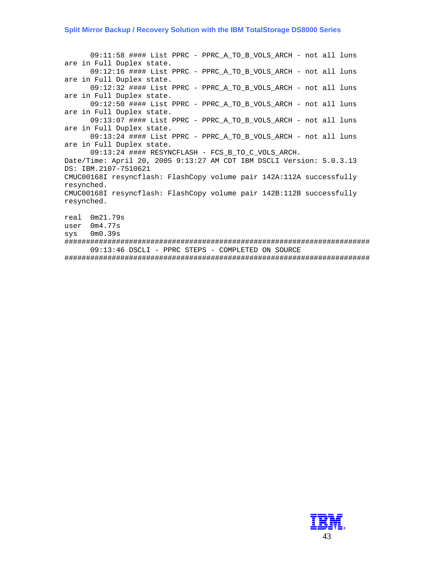09:11:58 #### List PPRC - PPRC\_A\_TO\_B\_VOLS\_ARCH - not all luns are in Full Duplex state. 09:12:16 #### List PPRC - PPRC\_A\_TO\_B\_VOLS\_ARCH - not all luns are in Full Duplex state. 09:12:32 #### List PPRC - PPRC\_A\_TO\_B\_VOLS\_ARCH - not all luns are in Full Duplex state. 09:12:50 #### List PPRC - PPRC\_A\_TO\_B\_VOLS\_ARCH - not all luns are in Full Duplex state. 09:13:07 #### List PPRC - PPRC\_A\_TO\_B\_VOLS\_ARCH - not all luns are in Full Duplex state. 09:13:24 #### List PPRC - PPRC\_A\_TO\_B\_VOLS\_ARCH - not all luns are in Full Duplex state. 09:13:24 #### RESYNCFLASH - FCS\_B\_TO\_C\_VOLS\_ARCH. Date/Time: April 20, 2005 9:13:27 AM CDT IBM DSCLI Version: 5.0.3.13 DS: IBM.2107-7510621 CMUC00168I resyncflash: FlashCopy volume pair 142A:112A successfully resynched. CMUC00168I resyncflash: FlashCopy volume pair 142B:112B successfully resynched. real 0m21.79s user 0m4.77s sys 0m0.39s ####################################################################### 09:13:46 DSCLI - PPRC STEPS - COMPLETED ON SOURCE

#######################################################################